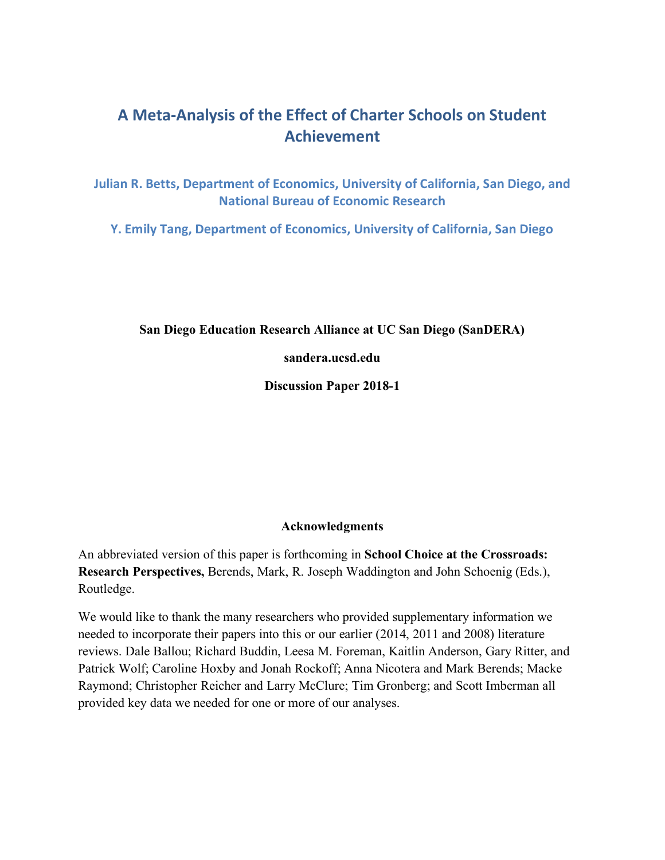# **A Meta-Analysis of the Effect of Charter Schools on Student Achievement**

**Julian R. Betts, Department of Economics, University of California, San Diego, and National Bureau of Economic Research**

**Y. Emily Tang, Department of Economics, University of California, San Diego**

**San Diego Education Research Alliance at UC San Diego (SanDERA)**

**sandera.ucsd.edu**

**Discussion Paper 2018-1**

#### **Acknowledgments**

An abbreviated version of this paper is forthcoming in **School Choice at the Crossroads: Research Perspectives,** Berends, Mark, R. Joseph Waddington and John Schoenig (Eds.), Routledge.

We would like to thank the many researchers who provided supplementary information we needed to incorporate their papers into this or our earlier (2014, 2011 and 2008) literature reviews. Dale Ballou; Richard Buddin, Leesa M. Foreman, Kaitlin Anderson, Gary Ritter, and Patrick Wolf; Caroline Hoxby and Jonah Rockoff; Anna Nicotera and Mark Berends; Macke Raymond; Christopher Reicher and Larry McClure; Tim Gronberg; and Scott Imberman all provided key data we needed for one or more of our analyses.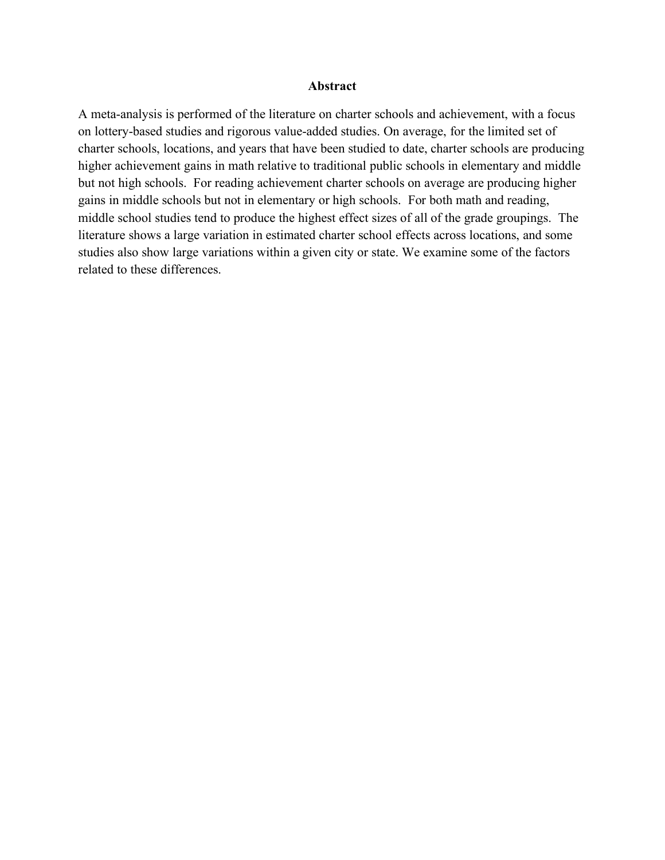#### **Abstract**

A meta-analysis is performed of the literature on charter schools and achievement, with a focus on lottery-based studies and rigorous value-added studies. On average, for the limited set of charter schools, locations, and years that have been studied to date, charter schools are producing higher achievement gains in math relative to traditional public schools in elementary and middle but not high schools. For reading achievement charter schools on average are producing higher gains in middle schools but not in elementary or high schools. For both math and reading, middle school studies tend to produce the highest effect sizes of all of the grade groupings. The literature shows a large variation in estimated charter school effects across locations, and some studies also show large variations within a given city or state. We examine some of the factors related to these differences.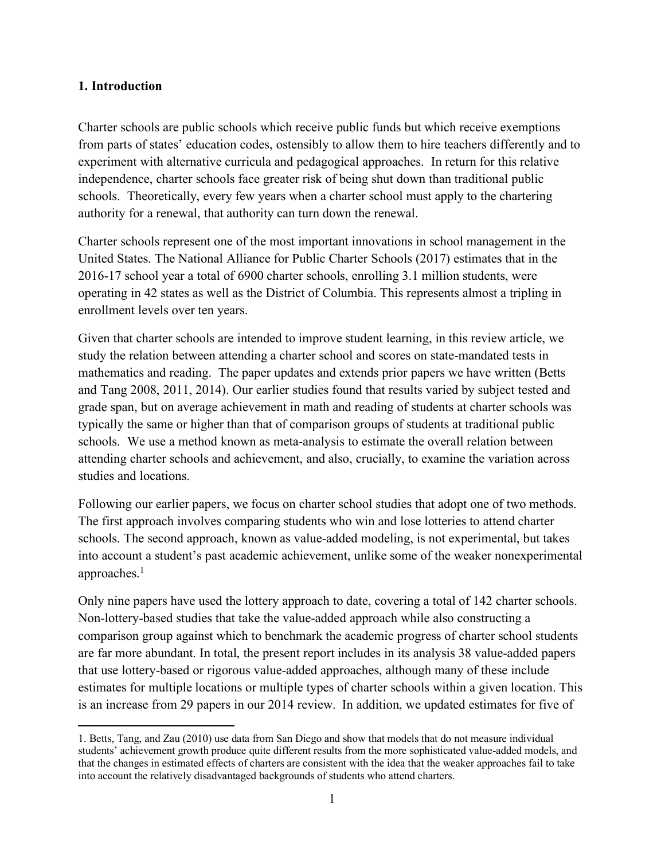#### **1. Introduction**

 $\overline{a}$ 

Charter schools are public schools which receive public funds but which receive exemptions from parts of states' education codes, ostensibly to allow them to hire teachers differently and to experiment with alternative curricula and pedagogical approaches. In return for this relative independence, charter schools face greater risk of being shut down than traditional public schools. Theoretically, every few years when a charter school must apply to the chartering authority for a renewal, that authority can turn down the renewal.

Charter schools represent one of the most important innovations in school management in the United States. The National Alliance for Public Charter Schools (2017) estimates that in the 2016-17 school year a total of 6900 charter schools, enrolling 3.1 million students, were operating in 42 states as well as the District of Columbia. This represents almost a tripling in enrollment levels over ten years.

Given that charter schools are intended to improve student learning, in this review article, we study the relation between attending a charter school and scores on state-mandated tests in mathematics and reading. The paper updates and extends prior papers we have written (Betts and Tang 2008, 2011, 2014). Our earlier studies found that results varied by subject tested and grade span, but on average achievement in math and reading of students at charter schools was typically the same or higher than that of comparison groups of students at traditional public schools. We use a method known as meta-analysis to estimate the overall relation between attending charter schools and achievement, and also, crucially, to examine the variation across studies and locations.

Following our earlier papers, we focus on charter school studies that adopt one of two methods. The first approach involves comparing students who win and lose lotteries to attend charter schools. The second approach, known as value-added modeling, is not experimental, but takes into account a student's past academic achievement, unlike some of the weaker nonexperimental approaches. 1

Only nine papers have used the lottery approach to date, covering a total of 142 charter schools. Non-lottery-based studies that take the value-added approach while also constructing a comparison group against which to benchmark the academic progress of charter school students are far more abundant. In total, the present report includes in its analysis 38 value-added papers that use lottery-based or rigorous value-added approaches, although many of these include estimates for multiple locations or multiple types of charter schools within a given location. This is an increase from 29 papers in our 2014 review. In addition, we updated estimates for five of

<sup>1.</sup> Betts, Tang, and Zau (2010) use data from San Diego and show that models that do not measure individual students' achievement growth produce quite different results from the more sophisticated value-added models, and that the changes in estimated effects of charters are consistent with the idea that the weaker approaches fail to take into account the relatively disadvantaged backgrounds of students who attend charters.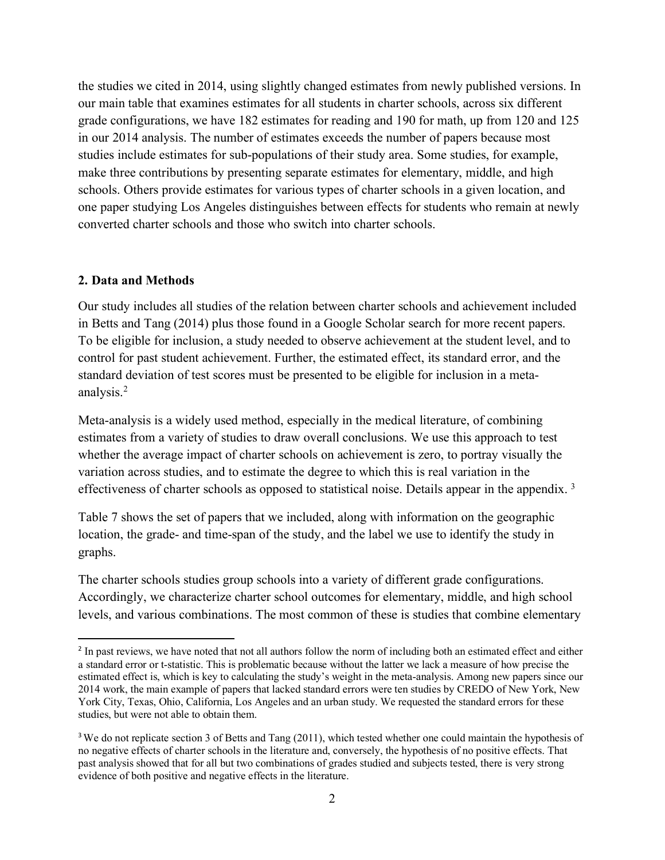the studies we cited in 2014, using slightly changed estimates from newly published versions. In our main table that examines estimates for all students in charter schools, across six different grade configurations, we have 182 estimates for reading and 190 for math, up from 120 and 125 in our 2014 analysis. The number of estimates exceeds the number of papers because most studies include estimates for sub-populations of their study area. Some studies, for example, make three contributions by presenting separate estimates for elementary, middle, and high schools. Others provide estimates for various types of charter schools in a given location, and one paper studying Los Angeles distinguishes between effects for students who remain at newly converted charter schools and those who switch into charter schools.

#### **2. Data and Methods**

Our study includes all studies of the relation between charter schools and achievement included in Betts and Tang (2014) plus those found in a Google Scholar search for more recent papers. To be eligible for inclusion, a study needed to observe achievement at the student level, and to control for past student achievement. Further, the estimated effect, its standard error, and the standard deviation of test scores must be presented to be eligible for inclusion in a metaanalysis. 2

Meta-analysis is a widely used method, especially in the medical literature, of combining estimates from a variety of studies to draw overall conclusions. We use this approach to test whether the average impact of charter schools on achievement is zero, to portray visually the variation across studies, and to estimate the degree to which this is real variation in the effectiveness of charter schools as opposed to statistical noise. Details appear in the appendix.<sup>3</sup>

Table 7 shows the set of papers that we included, along with information on the geographic location, the grade- and time-span of the study, and the label we use to identify the study in graphs.

The charter schools studies group schools into a variety of different grade configurations. Accordingly, we characterize charter school outcomes for elementary, middle, and high school levels, and various combinations. The most common of these is studies that combine elementary

<sup>&</sup>lt;sup>2</sup> In past reviews, we have noted that not all authors follow the norm of including both an estimated effect and either a standard error or t-statistic. This is problematic because without the latter we lack a measure of how precise the estimated effect is, which is key to calculating the study's weight in the meta-analysis. Among new papers since our 2014 work, the main example of papers that lacked standard errors were ten studies by CREDO of New York, New York City, Texas, Ohio, California, Los Angeles and an urban study. We requested the standard errors for these studies, but were not able to obtain them.

<sup>&</sup>lt;sup>3</sup>We do not replicate section 3 of Betts and Tang (2011), which tested whether one could maintain the hypothesis of no negative effects of charter schools in the literature and, conversely, the hypothesis of no positive effects. That past analysis showed that for all but two combinations of grades studied and subjects tested, there is very strong evidence of both positive and negative effects in the literature.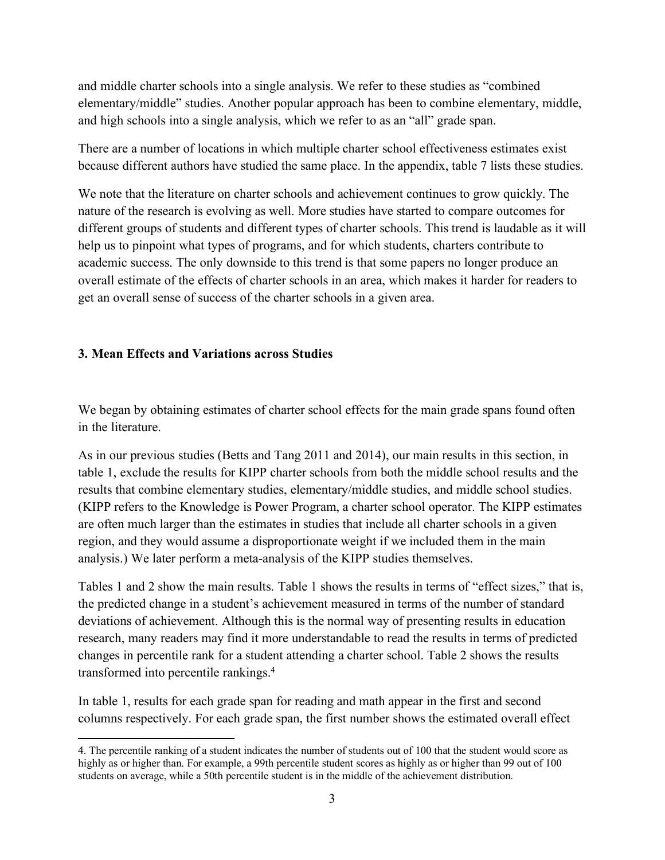and middle charter schools into a single analysis. We refer to these studies as "combined elementary/middle" studies. Another popular approach has been to combine elementary, middle, and high schools into a single analysis, which we refer to as an "all" grade span.

There are a number of locations in which multiple charter school effectiveness estimates exist because different authors have studied the same place. In the appendix, table 7 lists these studies.

We note that the literature on charter schools and achievement continues to grow quickly. The nature of the research is evolving as well. More studies have started to compare outcomes for different groups of students and different types of charter schools. This trend is laudable as it will help us to pinpoint what types of programs, and for which students, charters contribute to academic success. The only downside to this trend is that some papers no longer produce an overall estimate of the effects of charter schools in an area, which makes it harder for readers to get an overall sense of success of the charter schools in a given area.

### **3. Mean Effects and Variations across Studies**

 $\overline{\phantom{a}}$ 

We began by obtaining estimates of charter school effects for the main grade spans found often in the literature.

As in our previous studies (Betts and Tang 2011 and 2014), our main results in this section, in table 1, exclude the results for KIPP charter schools from both the middle school results and the results that combine elementary studies, elementary/middle studies, and middle school studies. (KIPP refers to the Knowledge is Power Program, a charter school operator. The KIPP estimates are often much larger than the estimates in studies that include all charter schools in a given region, and they would assume a disproportionate weight if we included them in the main analysis.) We later perform a meta-analysis of the KIPP studies themselves.

Tables 1 and 2 show the main results. Table 1 shows the results in terms of "effect sizes," that is, the predicted change in a student's achievement measured in terms of the number of standard deviations of achievement. Although this is the normal way of presenting results in education research, many readers may find it more understandable to read the results in terms of predicted changes in percentile rank for a student attending a charter school. Table 2 shows the results transformed into percentile rankings.4

In table 1, results for each grade span for reading and math appear in the first and second columns respectively. For each grade span, the first number shows the estimated overall effect

<sup>4.</sup> The percentile ranking of a student indicates the number of students out of 100 that the student would score as highly as or higher than. For example, a 99th percentile student scores as highly as or higher than 99 out of 100 students on average, while a 50th percentile student is in the middle of the achievement distribution.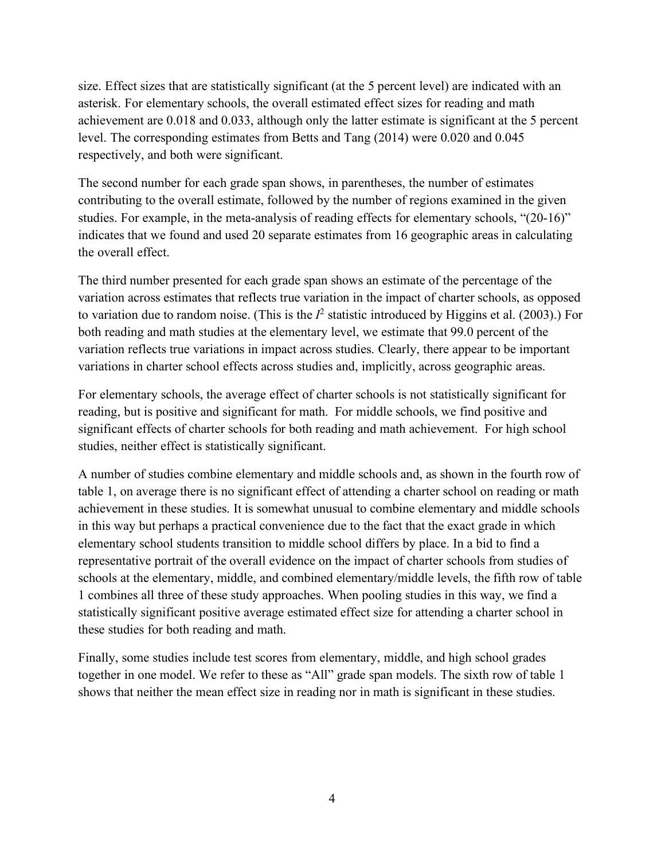size. Effect sizes that are statistically significant (at the 5 percent level) are indicated with an asterisk. For elementary schools, the overall estimated effect sizes for reading and math achievement are 0.018 and 0.033, although only the latter estimate is significant at the 5 percent level. The corresponding estimates from Betts and Tang (2014) were 0.020 and 0.045 respectively, and both were significant.

The second number for each grade span shows, in parentheses, the number of estimates contributing to the overall estimate, followed by the number of regions examined in the given studies. For example, in the meta-analysis of reading effects for elementary schools, "(20-16)" indicates that we found and used 20 separate estimates from 16 geographic areas in calculating the overall effect.

The third number presented for each grade span shows an estimate of the percentage of the variation across estimates that reflects true variation in the impact of charter schools, as opposed to variation due to random noise. (This is the  $I^2$  statistic introduced by Higgins et al. (2003).) For both reading and math studies at the elementary level, we estimate that 99.0 percent of the variation reflects true variations in impact across studies. Clearly, there appear to be important variations in charter school effects across studies and, implicitly, across geographic areas.

For elementary schools, the average effect of charter schools is not statistically significant for reading, but is positive and significant for math. For middle schools, we find positive and significant effects of charter schools for both reading and math achievement. For high school studies, neither effect is statistically significant.

A number of studies combine elementary and middle schools and, as shown in the fourth row of table 1, on average there is no significant effect of attending a charter school on reading or math achievement in these studies. It is somewhat unusual to combine elementary and middle schools in this way but perhaps a practical convenience due to the fact that the exact grade in which elementary school students transition to middle school differs by place. In a bid to find a representative portrait of the overall evidence on the impact of charter schools from studies of schools at the elementary, middle, and combined elementary/middle levels, the fifth row of table 1 combines all three of these study approaches. When pooling studies in this way, we find a statistically significant positive average estimated effect size for attending a charter school in these studies for both reading and math.

Finally, some studies include test scores from elementary, middle, and high school grades together in one model. We refer to these as "All" grade span models. The sixth row of table 1 shows that neither the mean effect size in reading nor in math is significant in these studies.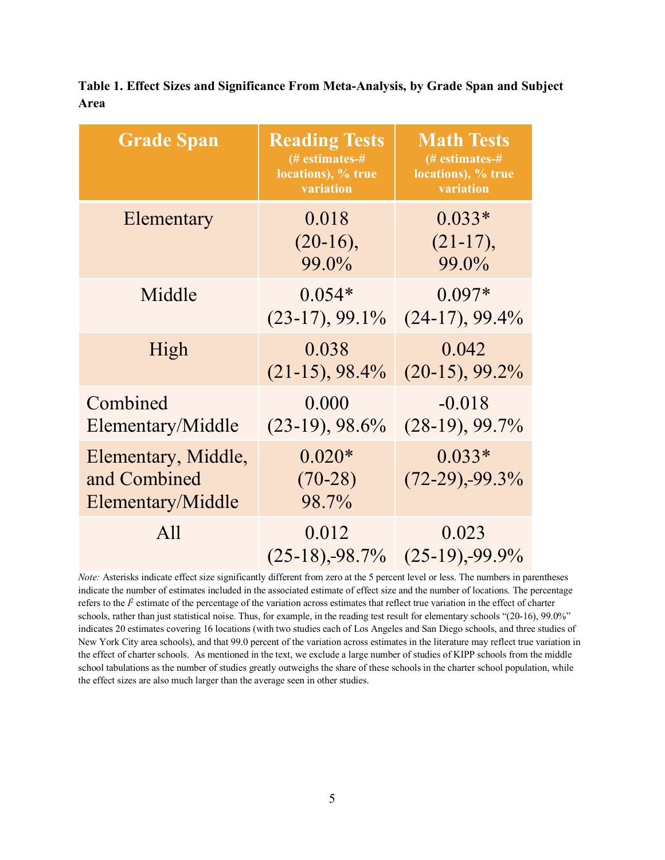| <b>Grade Span</b>                                        | <b>Reading Tests</b><br>$# estimates-#$<br>locations), % true<br>variation | <b>Math Tests</b><br>$# estimates-#$<br>locations), % true<br>variation |
|----------------------------------------------------------|----------------------------------------------------------------------------|-------------------------------------------------------------------------|
| Elementary                                               | 0.018<br>$(20-16),$<br>99.0%                                               | $0.033*$<br>$(21-17),$<br>99.0%                                         |
| Middle                                                   | $0.054*$<br>$(23-17), 99.1\%$                                              | $0.097*$<br>$(24-17), 99.4\%$                                           |
| High                                                     | 0.038<br>$(21-15), 98.4\%$                                                 | 0.042<br>$(20-15), 99.2\%$                                              |
| Combined<br>Elementary/Middle                            | 0.000<br>$(23-19), 98.6\%$                                                 | $-0.018$<br>$(28-19), 99.7\%$                                           |
| Elementary, Middle,<br>and Combined<br>Elementary/Middle | $0.020*$<br>$(70-28)$<br>98.7%                                             | $0.033*$<br>$(72-29)$ , -99.3%                                          |
| All                                                      | 0.012<br>$(25-18), -98.7\%$                                                | 0.023<br>$(25-19), -99.9\%$                                             |

**Table 1. Effect Sizes and Significance From Meta-Analysis, by Grade Span and Subject Area** 

*Note:* Asterisks indicate effect size significantly different from zero at the 5 percent level or less. The numbers in parentheses indicate the number of estimates included in the associated estimate of effect size and the number of locations. The percentage refers to the  $I<sup>2</sup>$  estimate of the percentage of the variation across estimates that reflect true variation in the effect of charter schools, rather than just statistical noise. Thus, for example, in the reading test result for elementary schools "(20-16), 99.0%" indicates 20 estimates covering 16 locations (with two studies each of Los Angeles and San Diego schools, and three studies of New York City area schools), and that 99.0 percent of the variation across estimates in the literature may reflect true variation in the effect of charter schools. As mentioned in the text, we exclude a large number of studies of KIPP schools from the middle school tabulations as the number of studies greatly outweighs the share of these schools in the charter school population, while the effect sizes are also much larger than the average seen in other studies.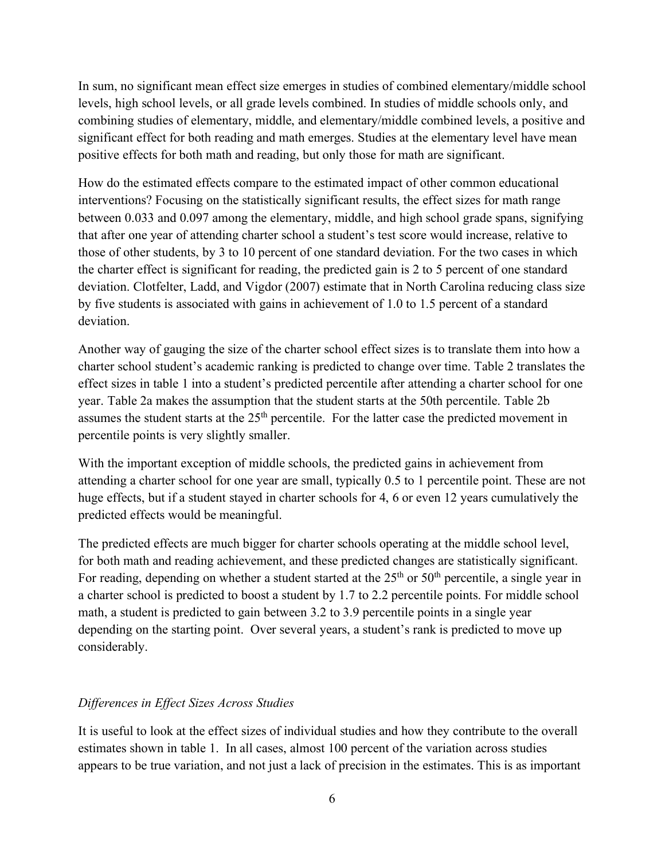In sum, no significant mean effect size emerges in studies of combined elementary/middle school levels, high school levels, or all grade levels combined. In studies of middle schools only, and combining studies of elementary, middle, and elementary/middle combined levels, a positive and significant effect for both reading and math emerges. Studies at the elementary level have mean positive effects for both math and reading, but only those for math are significant.

How do the estimated effects compare to the estimated impact of other common educational interventions? Focusing on the statistically significant results, the effect sizes for math range between 0.033 and 0.097 among the elementary, middle, and high school grade spans, signifying that after one year of attending charter school a student's test score would increase, relative to those of other students, by 3 to 10 percent of one standard deviation. For the two cases in which the charter effect is significant for reading, the predicted gain is 2 to 5 percent of one standard deviation. Clotfelter, Ladd, and Vigdor (2007) estimate that in North Carolina reducing class size by five students is associated with gains in achievement of 1.0 to 1.5 percent of a standard deviation.

Another way of gauging the size of the charter school effect sizes is to translate them into how a charter school student's academic ranking is predicted to change over time. Table 2 translates the effect sizes in table 1 into a student's predicted percentile after attending a charter school for one year. Table 2a makes the assumption that the student starts at the 50th percentile. Table 2b assumes the student starts at the 25<sup>th</sup> percentile. For the latter case the predicted movement in percentile points is very slightly smaller.

With the important exception of middle schools, the predicted gains in achievement from attending a charter school for one year are small, typically 0.5 to 1 percentile point. These are not huge effects, but if a student stayed in charter schools for 4, 6 or even 12 years cumulatively the predicted effects would be meaningful.

The predicted effects are much bigger for charter schools operating at the middle school level, for both math and reading achievement, and these predicted changes are statistically significant. For reading, depending on whether a student started at the  $25<sup>th</sup>$  or  $50<sup>th</sup>$  percentile, a single year in a charter school is predicted to boost a student by 1.7 to 2.2 percentile points. For middle school math, a student is predicted to gain between 3.2 to 3.9 percentile points in a single year depending on the starting point. Over several years, a student's rank is predicted to move up considerably.

### *Differences in Effect Sizes Across Studies*

It is useful to look at the effect sizes of individual studies and how they contribute to the overall estimates shown in table 1. In all cases, almost 100 percent of the variation across studies appears to be true variation, and not just a lack of precision in the estimates. This is as important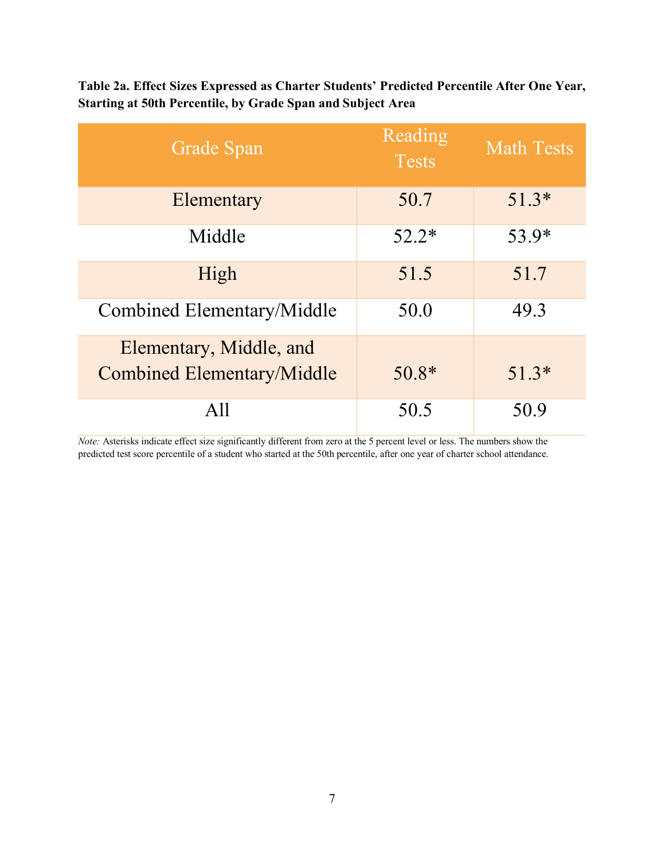**Table 2a. Effect Sizes Expressed as Charter Students' Predicted Percentile After One Year, Starting at 50th Percentile, by Grade Span and Subject Area** 

| <b>Grade Span</b>                 | Reading<br><b>Tests</b> | <b>Math Tests</b> |
|-----------------------------------|-------------------------|-------------------|
| Elementary                        | 50.7                    | $51.3*$           |
| Middle                            | $52.2*$                 | 53.9*             |
| High                              | 51.5                    | 51.7              |
| Combined Elementary/Middle        | 50.0                    | 49.3              |
| Elementary, Middle, and           |                         |                   |
| <b>Combined Elementary/Middle</b> | $50.8*$                 | $51.3*$           |
| A <sub>11</sub>                   | 50.5                    | 50.9              |

*Note:* Asterisks indicate effect size significantly different from zero at the 5 percent level or less. The numbers show the predicted test score percentile of a student who started at the 50th percentile, after one year of charter school attendance.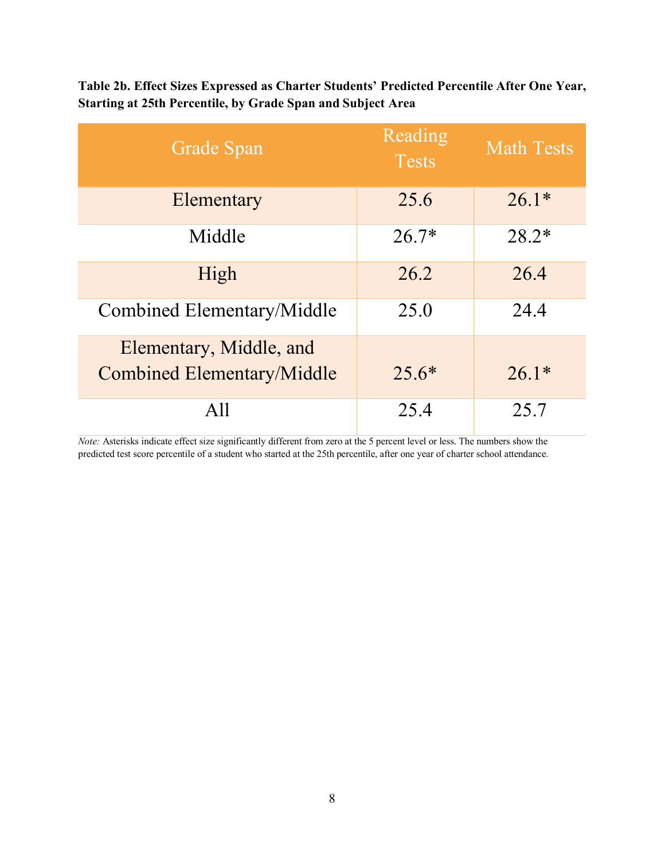**Table 2b. Effect Sizes Expressed as Charter Students' Predicted Percentile After One Year, Starting at 25th Percentile, by Grade Span and Subject Area** 

| <b>Grade Span</b>                 | Reading<br><b>Tests</b> | <b>Math Tests</b> |
|-----------------------------------|-------------------------|-------------------|
| Elementary                        | 25.6                    | $26.1*$           |
| Middle                            | $26.7*$                 | $28.2*$           |
| High                              | 26.2                    | 26.4              |
| Combined Elementary/Middle        | 25.0                    | 24.4              |
| Elementary, Middle, and           |                         |                   |
| <b>Combined Elementary/Middle</b> | $25.6*$                 | $26.1*$           |
| A11                               | 25.4                    | 25.7              |

*Note:* Asterisks indicate effect size significantly different from zero at the 5 percent level or less. The numbers show the predicted test score percentile of a student who started at the 25th percentile, after one year of charter school attendance.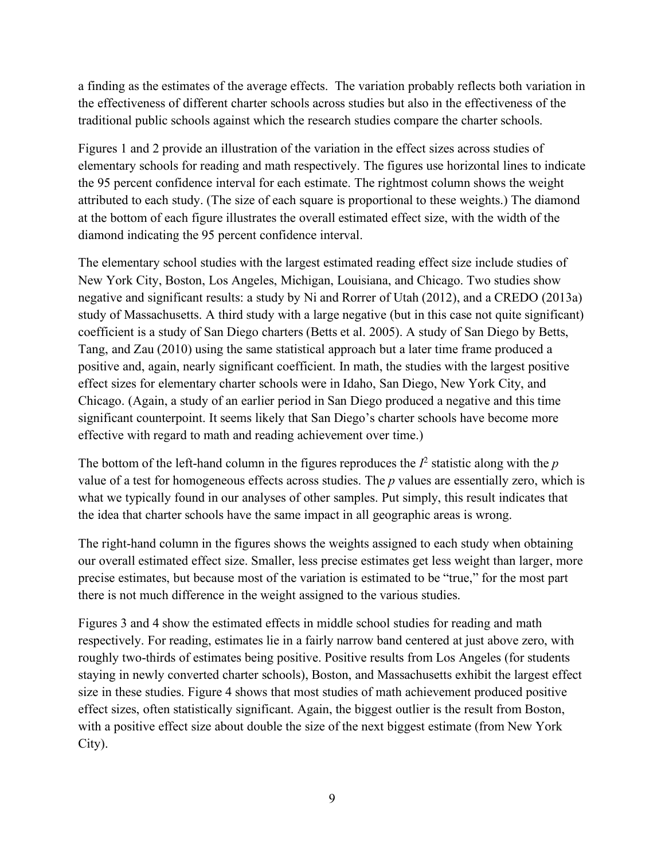a finding as the estimates of the average effects. The variation probably reflects both variation in the effectiveness of different charter schools across studies but also in the effectiveness of the traditional public schools against which the research studies compare the charter schools.

Figures 1 and 2 provide an illustration of the variation in the effect sizes across studies of elementary schools for reading and math respectively. The figures use horizontal lines to indicate the 95 percent confidence interval for each estimate. The rightmost column shows the weight attributed to each study. (The size of each square is proportional to these weights.) The diamond at the bottom of each figure illustrates the overall estimated effect size, with the width of the diamond indicating the 95 percent confidence interval.

The elementary school studies with the largest estimated reading effect size include studies of New York City, Boston, Los Angeles, Michigan, Louisiana, and Chicago. Two studies show negative and significant results: a study by Ni and Rorrer of Utah (2012), and a CREDO (2013a) study of Massachusetts. A third study with a large negative (but in this case not quite significant) coefficient is a study of San Diego charters (Betts et al. 2005). A study of San Diego by Betts, Tang, and Zau (2010) using the same statistical approach but a later time frame produced a positive and, again, nearly significant coefficient. In math, the studies with the largest positive effect sizes for elementary charter schools were in Idaho, San Diego, New York City, and Chicago. (Again, a study of an earlier period in San Diego produced a negative and this time significant counterpoint. It seems likely that San Diego's charter schools have become more effective with regard to math and reading achievement over time.)

The bottom of the left-hand column in the figures reproduces the  $I^2$  statistic along with the  $p$ value of a test for homogeneous effects across studies. The *p* values are essentially zero, which is what we typically found in our analyses of other samples. Put simply, this result indicates that the idea that charter schools have the same impact in all geographic areas is wrong.

The right-hand column in the figures shows the weights assigned to each study when obtaining our overall estimated effect size. Smaller, less precise estimates get less weight than larger, more precise estimates, but because most of the variation is estimated to be "true," for the most part there is not much difference in the weight assigned to the various studies.

Figures 3 and 4 show the estimated effects in middle school studies for reading and math respectively. For reading, estimates lie in a fairly narrow band centered at just above zero, with roughly two-thirds of estimates being positive. Positive results from Los Angeles (for students staying in newly converted charter schools), Boston, and Massachusetts exhibit the largest effect size in these studies. Figure 4 shows that most studies of math achievement produced positive effect sizes, often statistically significant. Again, the biggest outlier is the result from Boston, with a positive effect size about double the size of the next biggest estimate (from New York City).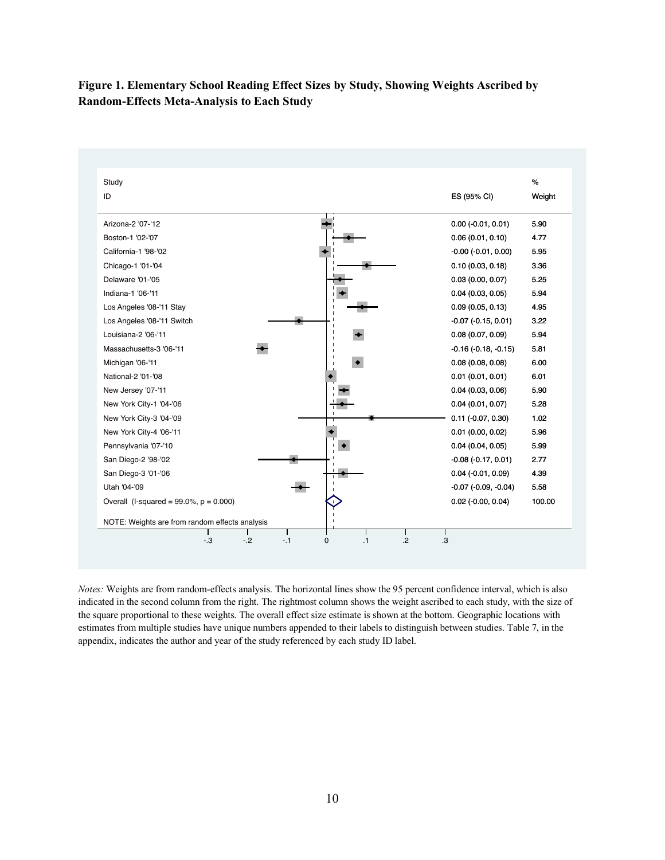#### **Figure 1. Elementary School Reading Effect Sizes by Study, Showing Weights Ascribed by Random-Effects Meta-Analysis to Each Study**



*Notes:* Weights are from random-effects analysis. The horizontal lines show the 95 percent confidence interval, which is also indicated in the second column from the right. The rightmost column shows the weight ascribed to each study, with the size of the square proportional to these weights. The overall effect size estimate is shown at the bottom. Geographic locations with estimates from multiple studies have unique numbers appended to their labels to distinguish between studies. Table 7, in the appendix, indicates the author and year of the study referenced by each study ID label.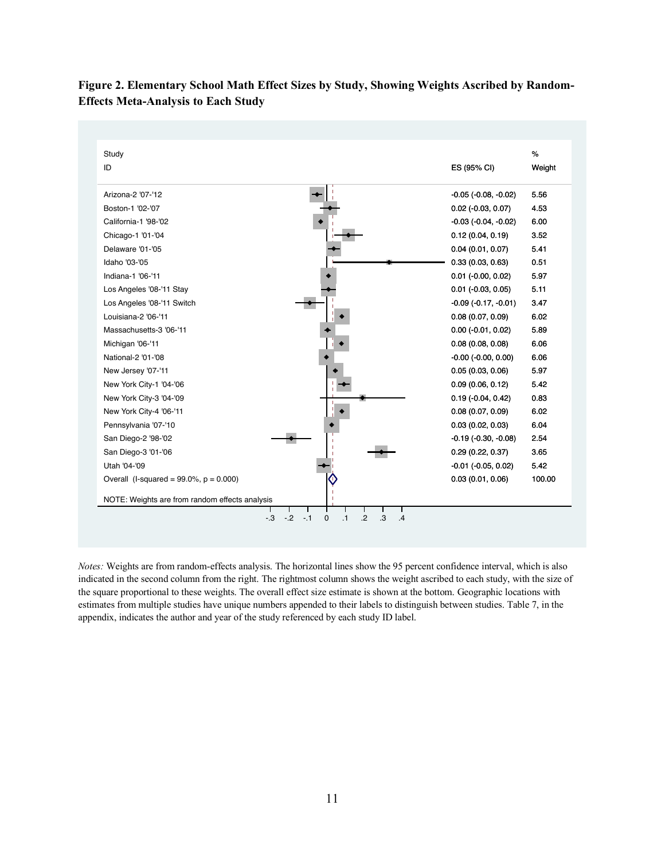| Study                                          |                          | %      |
|------------------------------------------------|--------------------------|--------|
| ID                                             | ES (95% CI)              | Weight |
| Arizona-2 '07-'12                              | $-0.05$ $(-0.08, -0.02)$ | 5.56   |
| Boston-1 '02-'07                               | $0.02$ (-0.03, 0.07)     | 4.53   |
| California-1 '98-'02                           | $-0.03$ $(-0.04, -0.02)$ | 6.00   |
| Chicago-1 '01-'04                              | 0.12(0.04, 0.19)         | 3.52   |
| Delaware '01-'05                               | 0.04(0.01, 0.07)         | 5.41   |
| Idaho '03-'05                                  | 0.33(0.03, 0.63)         | 0.51   |
| Indiana-1 '06-'11                              | $0.01$ (-0.00, 0.02)     | 5.97   |
| Los Angeles '08-'11 Stay                       | $0.01$ (-0.03, 0.05)     | 5.11   |
| Los Angeles '08-'11 Switch                     | $-0.09$ $(-0.17, -0.01)$ | 3.47   |
| Louisiana-2 '06-'11                            | 0.08(0.07, 0.09)         | 6.02   |
| Massachusetts-3 '06-'11                        | $0.00$ (-0.01, 0.02)     | 5.89   |
| Michigan '06-'11                               | 0.08(0.08, 0.08)         | 6.06   |
| National-2 '01-'08                             | $-0.00$ $(-0.00, 0.00)$  | 6.06   |
| New Jersey '07-'11                             | 0.05(0.03, 0.06)         | 5.97   |
| New York City-1 '04-'06                        | 0.09(0.06, 0.12)         | 5.42   |
| New York City-3 '04-'09                        | $0.19$ (-0.04, 0.42)     | 0.83   |
| New York City-4 '06-'11                        | 0.08(0.07, 0.09)         | 6.02   |
| Pennsylvania '07-'10                           | 0.03(0.02, 0.03)         | 6.04   |
| San Diego-2 '98-'02                            | $-0.19$ $(-0.30, -0.08)$ | 2.54   |
| San Diego-3 '01-'06                            | 0.29(0.22, 0.37)         | 3.65   |
| Utah '04-'09                                   | $-0.01$ $(-0.05, 0.02)$  | 5.42   |
| Overall (I-squared = $99.0\%$ , $p = 0.000$ )  | 0.03(0.01, 0.06)         | 100.00 |
| NOTE: Weights are from random effects analysis |                          |        |

**Figure 2. Elementary School Math Effect Sizes by Study, Showing Weights Ascribed by Random-Effects Meta-Analysis to Each Study**

*Notes:* Weights are from random-effects analysis. The horizontal lines show the 95 percent confidence interval, which is also indicated in the second column from the right. The rightmost column shows the weight ascribed to each study, with the size of the square proportional to these weights. The overall effect size estimate is shown at the bottom. Geographic locations with estimates from multiple studies have unique numbers appended to their labels to distinguish between studies. Table 7, in the appendix, indicates the author and year of the study referenced by each study ID label.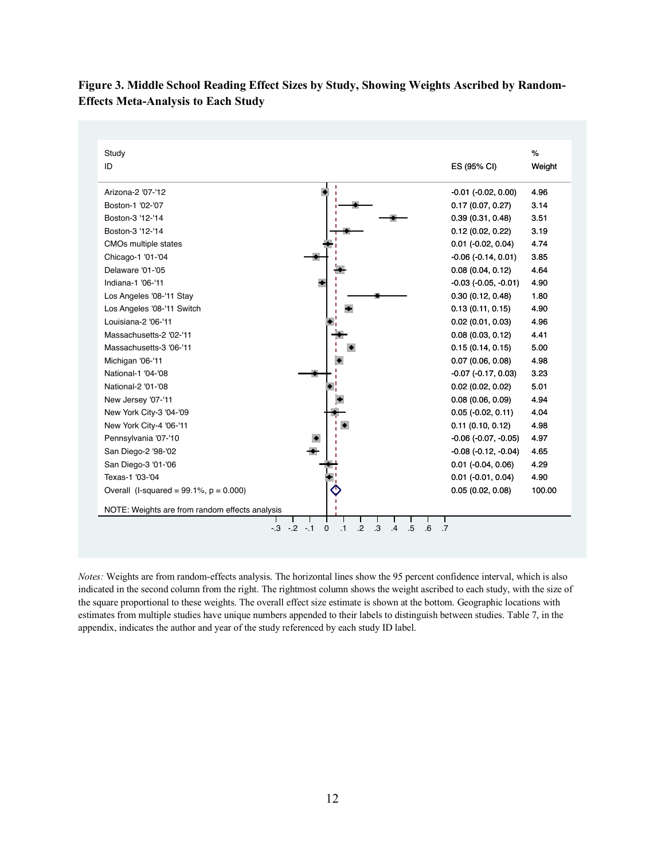| Study<br>ID                                    | ES (95% CI)                   | %<br>Weight |
|------------------------------------------------|-------------------------------|-------------|
| Arizona-2 '07-'12                              | $-0.01$ $(-0.02, 0.00)$       | 4.96        |
| Boston-1 '02-'07                               | 0.17(0.07, 0.27)              | 3.14        |
| Boston-3 '12-'14                               | 0.39(0.31, 0.48)              | 3.51        |
| Boston-3 '12-'14                               | 0.12(0.02, 0.22)              | 3.19        |
| CMOs multiple states                           | $0.01$ (-0.02, 0.04)          | 4.74        |
| Chicago-1 '01-'04                              | $-0.06$ $(-0.14, 0.01)$       | 3.85        |
| Delaware '01-'05                               | 0.08(0.04, 0.12)              | 4.64        |
| Indiana-1 '06-'11                              | $-0.03$ ( $-0.05$ , $-0.01$ ) | 4.90        |
| Los Angeles '08-'11 Stay                       | 0.30(0.12, 0.48)              | 1.80        |
| Los Angeles '08-'11 Switch                     | 0.13(0.11, 0.15)              | 4.90        |
| Louisiana-2 '06-'11                            | 0.02(0.01, 0.03)              | 4.96        |
| Massachusetts-2 '02-'11                        | 0.08(0.03, 0.12)              | 4.41        |
| Massachusetts-3 '06-'11                        | 0.15(0.14, 0.15)              | 5.00        |
| Michigan '06-'11                               | 0.07(0.06, 0.08)              | 4.98        |
| National-1 '04-'08                             | $-0.07$ $(-0.17, 0.03)$       | 3.23        |
| National-2 '01-'08                             | 0.02(0.02, 0.02)              | 5.01        |
| New Jersey '07-'11                             | 0.08(0.06, 0.09)              | 4.94        |
| New York City-3 '04-'09                        | $0.05$ (-0.02, 0.11)          | 4.04        |
| New York City-4 '06-'11                        | $0.11$ (0.10, 0.12)           | 4.98        |
| Pennsylvania '07-'10                           | $-0.06$ $(-0.07, -0.05)$      | 4.97        |
| San Diego-2 '98-'02                            | $-0.08$ ( $-0.12$ , $-0.04$ ) | 4.65        |
| San Diego-3 '01-'06                            | $0.01$ (-0.04, 0.06)          | 4.29        |
| Texas-1 '03-'04                                | $0.01$ (-0.01, 0.04)          | 4.90        |
| Overall (I-squared = $99.1\%$ , $p = 0.000$ )  | 0.05(0.02, 0.08)              | 100.00      |
| NOTE: Weights are from random effects analysis |                               |             |

**Figure 3. Middle School Reading Effect Sizes by Study, Showing Weights Ascribed by Random-Effects Meta-Analysis to Each Study**

*Notes:* Weights are from random-effects analysis. The horizontal lines show the 95 percent confidence interval, which is also indicated in the second column from the right. The rightmost column shows the weight ascribed to each study, with the size of the square proportional to these weights. The overall effect size estimate is shown at the bottom. Geographic locations with estimates from multiple studies have unique numbers appended to their labels to distinguish between studies. Table 7, in the appendix, indicates the author and year of the study referenced by each study ID label.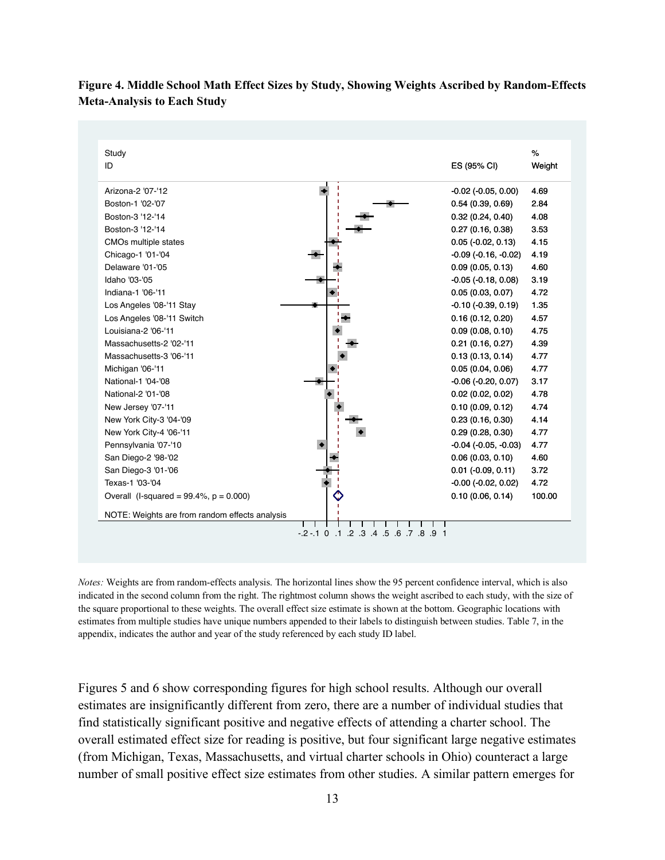| Study<br>ID                                    | ES (95% CI)                   | %<br>Weight |
|------------------------------------------------|-------------------------------|-------------|
| Arizona-2 '07-'12                              | $-0.02$ ( $-0.05$ , $0.00$ )  | 4.69        |
| Boston-1 '02-'07                               | 0.54(0.39, 0.69)              | 2.84        |
| Boston-3 '12-'14                               | 0.32(0.24, 0.40)              | 4.08        |
| Boston-3 '12-'14                               | 0.27(0.16, 0.38)              | 3.53        |
| <b>CMOs multiple states</b>                    | $0.05$ ( $-0.02, 0.13$ )      | 4.15        |
| Chicago-1 '01-'04                              | $-0.09$ ( $-0.16$ , $-0.02$ ) | 4.19        |
| Delaware '01-'05                               | 0.09(0.05, 0.13)              | 4.60        |
| Idaho '03-'05                                  | $-0.05$ $(-0.18, 0.08)$       | 3.19        |
| Indiana-1 '06-'11                              | 0.05(0.03, 0.07)              | 4.72        |
| Los Angeles '08-'11 Stay                       | $-0.10 (-0.39, 0.19)$         | 1.35        |
| Los Angeles '08-'11 Switch                     | 0.16(0.12, 0.20)              | 4.57        |
| Louisiana-2 '06-'11                            | 0.09(0.08, 0.10)              | 4.75        |
| Massachusetts-2 '02-'11                        | 0.21(0.16, 0.27)              | 4.39        |
| Massachusetts-3 '06-'11                        | 0.13(0.13, 0.14)              | 4.77        |
| Michigan '06-'11                               | 0.05(0.04, 0.06)              | 4.77        |
| National-1 '04-'08                             | $-0.06$ ( $-0.20, 0.07$ )     | 3.17        |
| National-2 '01-'08                             | 0.02(0.02, 0.02)              | 4.78        |
| New Jersey '07-'11                             | 0.10(0.09, 0.12)              | 4.74        |
| New York City-3 '04-'09                        | 0.23(0.16, 0.30)              | 4.14        |
| New York City-4 '06-'11                        | 0.29(0.28, 0.30)              | 4.77        |
| Pennsylvania '07-'10                           | $-0.04$ ( $-0.05$ , $-0.03$ ) | 4.77        |
| San Diego-2 '98-'02                            | 0.06(0.03, 0.10)              | 4.60        |
| San Diego-3 '01-'06                            | $0.01$ (-0.09, 0.11)          | 3.72        |
| Texas-1 '03-'04                                | $-0.00$ ( $-0.02$ , $0.02$ )  | 4.72        |
| Overall (I-squared = $99.4\%$ , $p = 0.000$ )  | 0.10(0.06, 0.14)              | 100.00      |
| NOTE: Weights are from random effects analysis |                               |             |

**Figure 4. Middle School Math Effect Sizes by Study, Showing Weights Ascribed by Random-Effects Meta-Analysis to Each Study**

*Notes:* Weights are from random-effects analysis. The horizontal lines show the 95 percent confidence interval, which is also indicated in the second column from the right. The rightmost column shows the weight ascribed to each study, with the size of the square proportional to these weights. The overall effect size estimate is shown at the bottom. Geographic locations with estimates from multiple studies have unique numbers appended to their labels to distinguish between studies. Table 7, in the appendix, indicates the author and year of the study referenced by each study ID label.

Figures 5 and 6 show corresponding figures for high school results. Although our overall estimates are insignificantly different from zero, there are a number of individual studies that find statistically significant positive and negative effects of attending a charter school. The overall estimated effect size for reading is positive, but four significant large negative estimates (from Michigan, Texas, Massachusetts, and virtual charter schools in Ohio) counteract a large number of small positive effect size estimates from other studies. A similar pattern emerges for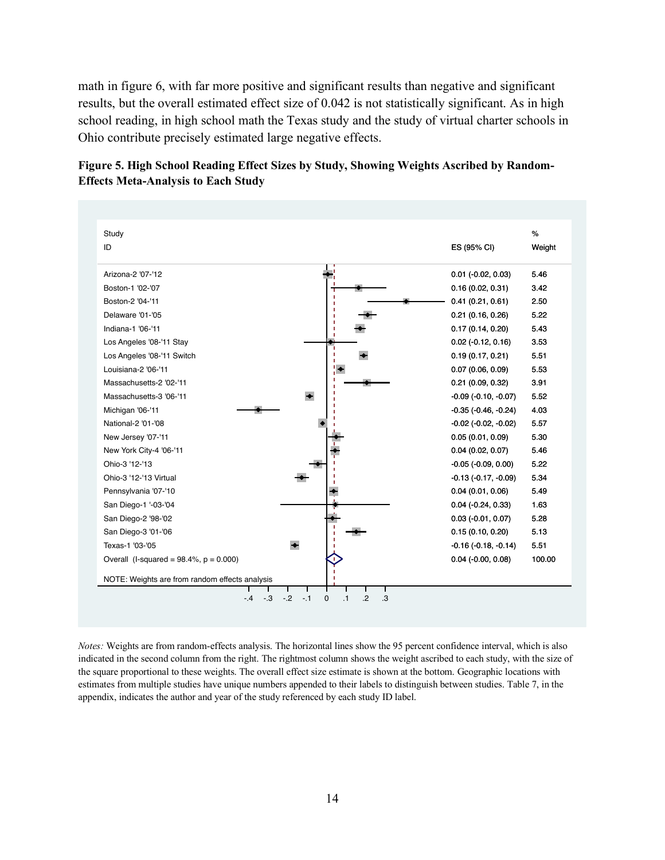math in figure 6, with far more positive and significant results than negative and significant results, but the overall estimated effect size of 0.042 is not statistically significant. As in high school reading, in high school math the Texas study and the study of virtual charter schools in Ohio contribute precisely estimated large negative effects.

| Study<br>ID                                    |                               | %      |
|------------------------------------------------|-------------------------------|--------|
|                                                | ES (95% CI)                   | Weight |
| Arizona-2 '07-'12                              | $0.01$ (-0.02, 0.03)          | 5.46   |
| Boston-1 '02-'07                               | 0.16(0.02, 0.31)              | 3.42   |
| Boston-2 '04-'11                               | 0.41(0.21, 0.61)              | 2.50   |
| Delaware '01-'05                               | 0.21(0.16, 0.26)              | 5.22   |
| Indiana-1 '06-'11                              | 0.17(0.14, 0.20)              | 5.43   |
| Los Angeles '08-'11 Stay                       | $0.02$ (-0.12, 0.16)          | 3.53   |
| Los Angeles '08-'11 Switch                     | 0.19(0.17, 0.21)              | 5.51   |
| Louisiana-2 '06-'11                            | 0.07(0.06, 0.09)              | 5.53   |
| Massachusetts-2 '02-'11                        | 0.21(0.09, 0.32)              | 3.91   |
| Massachusetts-3 '06-'11                        | $-0.09$ $(-0.10, -0.07)$      | 5.52   |
| Michigan '06-'11                               | $-0.35$ ( $-0.46$ , $-0.24$ ) | 4.03   |
| National-2 '01-'08                             | $-0.02$ $(-0.02, -0.02)$      | 5.57   |
| New Jersey '07-'11                             | 0.05(0.01, 0.09)              | 5.30   |
| New York City-4 '06-'11                        | 0.04(0.02, 0.07)              | 5.46   |
| Ohio-3 '12-'13                                 | $-0.05$ $(-0.09, 0.00)$       | 5.22   |
| Ohio-3 '12-'13 Virtual                         | $-0.13(-0.17, -0.09)$         | 5.34   |
| Pennsylvania '07-'10                           | 0.04(0.01, 0.06)              | 5.49   |
| San Diego-1 '-03-'04                           | $0.04$ (-0.24, 0.33)          | 1.63   |
| San Diego-2 '98-'02                            | $0.03$ (-0.01, 0.07)          | 5.28   |
| San Diego-3 '01-'06                            | 0.15(0.10, 0.20)              | 5.13   |
| Texas-1 '03-'05                                | $-0.16(-0.18,-0.14)$          | 5.51   |
| Overall (I-squared = $98.4\%$ , $p = 0.000$ )  | $0.04$ (-0.00, 0.08)          | 100.00 |
| NOTE: Weights are from random effects analysis |                               |        |

**Figure 5. High School Reading Effect Sizes by Study, Showing Weights Ascribed by Random-Effects Meta-Analysis to Each Study**

*Notes:* Weights are from random-effects analysis. The horizontal lines show the 95 percent confidence interval, which is also indicated in the second column from the right. The rightmost column shows the weight ascribed to each study, with the size of the square proportional to these weights. The overall effect size estimate is shown at the bottom. Geographic locations with estimates from multiple studies have unique numbers appended to their labels to distinguish between studies. Table 7, in the appendix, indicates the author and year of the study referenced by each study ID label.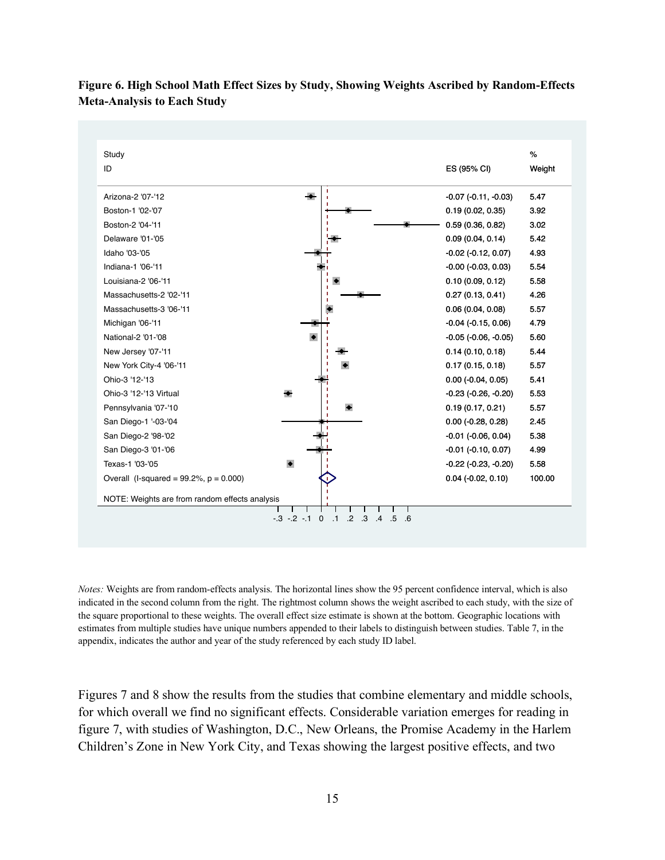| Study                                          |  |                               | %      |
|------------------------------------------------|--|-------------------------------|--------|
| ID                                             |  | ES (95% CI)                   | Weight |
| Arizona-2 '07-'12                              |  | $-0.07$ $(-0.11, -0.03)$      | 5.47   |
| Boston-1 '02-'07                               |  | 0.19(0.02, 0.35)              | 3.92   |
| Boston-2 '04-'11                               |  | 0.59(0.36, 0.82)              | 3.02   |
| Delaware '01-'05                               |  | 0.09(0.04, 0.14)              | 5.42   |
| Idaho '03-'05                                  |  | $-0.02$ $(-0.12, 0.07)$       | 4.93   |
| Indiana-1 '06-'11                              |  | $-0.00$ $(-0.03, 0.03)$       | 5.54   |
| Louisiana-2 '06-'11                            |  | 0.10(0.09, 0.12)              | 5.58   |
| Massachusetts-2 '02-'11                        |  | 0.27(0.13, 0.41)              | 4.26   |
| Massachusetts-3 '06-'11                        |  | 0.06(0.04, 0.08)              | 5.57   |
| Michigan '06-'11                               |  | $-0.04$ $(-0.15, 0.06)$       | 4.79   |
| National-2 '01-'08                             |  | $-0.05$ ( $-0.06$ , $-0.05$ ) | 5.60   |
| New Jersey '07-'11                             |  | 0.14(0.10, 0.18)              | 5.44   |
| New York City-4 '06-'11                        |  | 0.17(0.15, 0.18)              | 5.57   |
| Ohio-3 '12-'13                                 |  | $0.00$ (-0.04, 0.05)          | 5.41   |
| Ohio-3 '12-'13 Virtual                         |  | $-0.23$ $(-0.26, -0.20)$      | 5.53   |
| Pennsylvania '07-'10                           |  | 0.19(0.17, 0.21)              | 5.57   |
| San Diego-1 '-03-'04                           |  | $0.00$ (-0.28, 0.28)          | 2.45   |
| San Diego-2 '98-'02                            |  | $-0.01$ $(-0.06, 0.04)$       | 5.38   |
| San Diego-3 '01-'06                            |  | $-0.01$ $(-0.10, 0.07)$       | 4.99   |
| Texas-1 '03-'05                                |  | $-0.22$ $(-0.23, -0.20)$      | 5.58   |
| Overall (I-squared = $99.2\%$ , $p = 0.000$ )  |  | $0.04$ (-0.02, 0.10)          | 100.00 |
| NOTE: Weights are from random effects analysis |  |                               |        |

**Figure 6. High School Math Effect Sizes by Study, Showing Weights Ascribed by Random-Effects Meta-Analysis to Each Study**

*Notes:* Weights are from random-effects analysis. The horizontal lines show the 95 percent confidence interval, which is also indicated in the second column from the right. The rightmost column shows the weight ascribed to each study, with the size of the square proportional to these weights. The overall effect size estimate is shown at the bottom. Geographic locations with estimates from multiple studies have unique numbers appended to their labels to distinguish between studies. Table 7, in the appendix, indicates the author and year of the study referenced by each study ID label.

Figures 7 and 8 show the results from the studies that combine elementary and middle schools, for which overall we find no significant effects. Considerable variation emerges for reading in figure 7, with studies of Washington, D.C., New Orleans, the Promise Academy in the Harlem Children's Zone in New York City, and Texas showing the largest positive effects, and two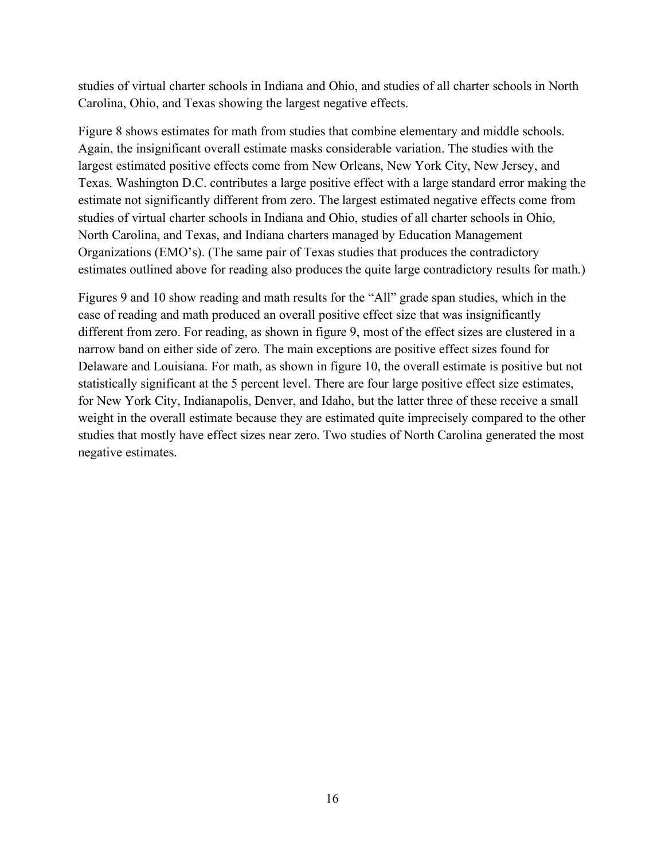studies of virtual charter schools in Indiana and Ohio, and studies of all charter schools in North Carolina, Ohio, and Texas showing the largest negative effects.

Figure 8 shows estimates for math from studies that combine elementary and middle schools. Again, the insignificant overall estimate masks considerable variation. The studies with the largest estimated positive effects come from New Orleans, New York City, New Jersey, and Texas. Washington D.C. contributes a large positive effect with a large standard error making the estimate not significantly different from zero. The largest estimated negative effects come from studies of virtual charter schools in Indiana and Ohio, studies of all charter schools in Ohio, North Carolina, and Texas, and Indiana charters managed by Education Management Organizations (EMO's). (The same pair of Texas studies that produces the contradictory estimates outlined above for reading also produces the quite large contradictory results for math.)

Figures 9 and 10 show reading and math results for the "All" grade span studies, which in the case of reading and math produced an overall positive effect size that was insignificantly different from zero. For reading, as shown in figure 9, most of the effect sizes are clustered in a narrow band on either side of zero. The main exceptions are positive effect sizes found for Delaware and Louisiana. For math, as shown in figure 10, the overall estimate is positive but not statistically significant at the 5 percent level. There are four large positive effect size estimates, for New York City, Indianapolis, Denver, and Idaho, but the latter three of these receive a small weight in the overall estimate because they are estimated quite imprecisely compared to the other studies that mostly have effect sizes near zero. Two studies of North Carolina generated the most negative estimates.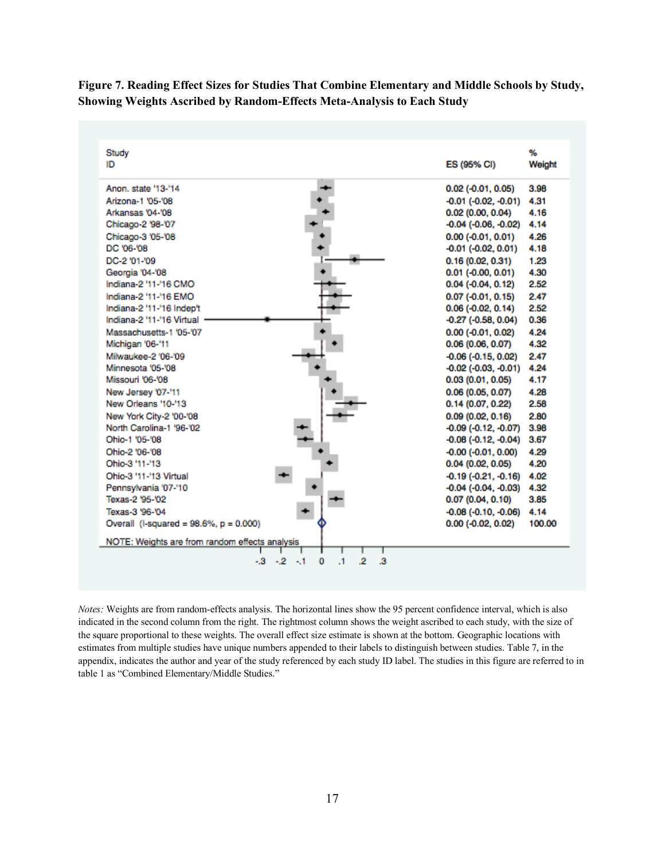**Figure 7. Reading Effect Sizes for Studies That Combine Elementary and Middle Schools by Study, Showing Weights Ascribed by Random-Effects Meta-Analysis to Each Study**



*Notes:* Weights are from random-effects analysis. The horizontal lines show the 95 percent confidence interval, which is also indicated in the second column from the right. The rightmost column shows the weight ascribed to each study, with the size of the square proportional to these weights. The overall effect size estimate is shown at the bottom. Geographic locations with estimates from multiple studies have unique numbers appended to their labels to distinguish between studies. Table 7, in the appendix, indicates the author and year of the study referenced by each study ID label. The studies in this figure are referred to in table 1 as "Combined Elementary/Middle Studies."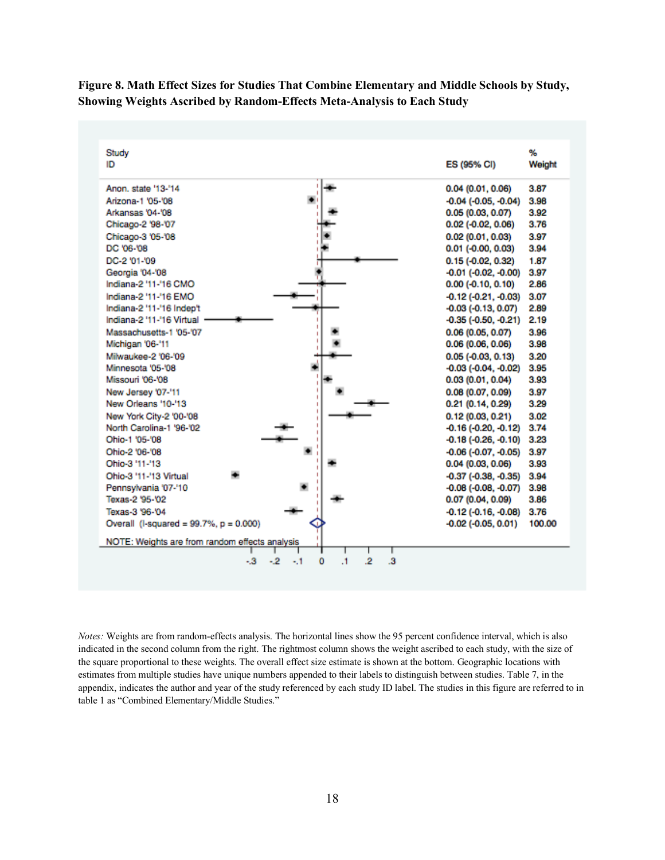**Figure 8. Math Effect Sizes for Studies That Combine Elementary and Middle Schools by Study, Showing Weights Ascribed by Random-Effects Meta-Analysis to Each Study**



*Notes:* Weights are from random-effects analysis. The horizontal lines show the 95 percent confidence interval, which is also indicated in the second column from the right. The rightmost column shows the weight ascribed to each study, with the size of the square proportional to these weights. The overall effect size estimate is shown at the bottom. Geographic locations with estimates from multiple studies have unique numbers appended to their labels to distinguish between studies. Table 7, in the appendix, indicates the author and year of the study referenced by each study ID label. The studies in this figure are referred to in table 1 as "Combined Elementary/Middle Studies."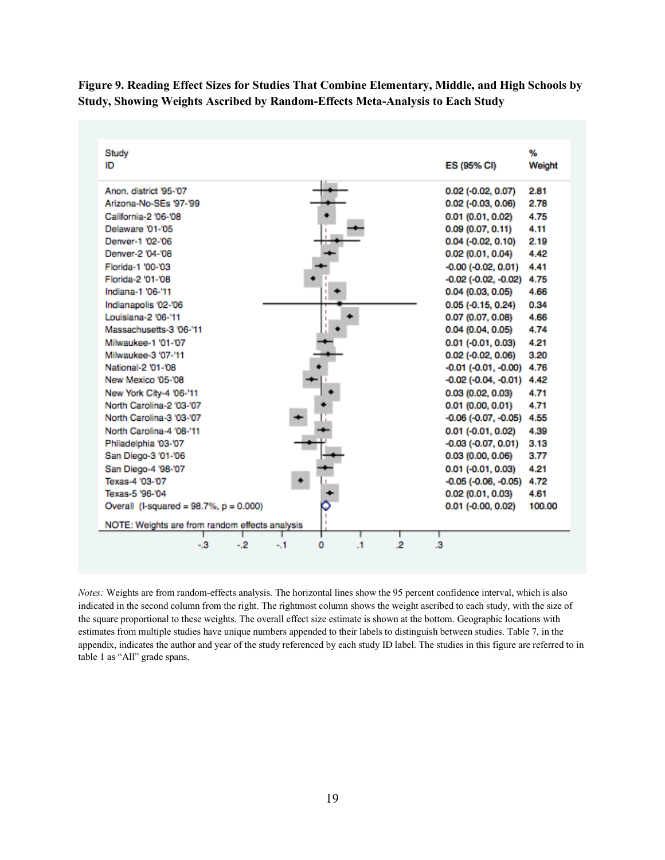Study ℁ ID ES (95% CI) Weight 2.81 Anon. district '95-'07  $0.02$  (-0.02, 0.07) Arizona-No-SEs '97-'99  $0.02$  (-0.03, 0.06) 2.78 California-2 '06-'08 0.01 (0.01, 0.02) 4.75 Delaware '01-'05  $0.09(0.07, 0.11)$ 4.11 Denver-1 '02-'06  $0.04$  (-0.02, 0.10) 2.19 4.42 Denver-2 '04-'08  $0.02(0.01, 0.04)$ Florida-1 '00-'03  $-0.00$   $(-0.02, 0.01)$ 4.41 Florida-2 '01-'08  $-0.02$   $(-0.02, -0.02)$ 4.75 Indiana-1 '06-'11  $0.04(0.03, 0.05)$ 4.66 Indianapolis '02-'06  $0.05$  (-0.15, 0.24) 0.34 Louisiana-2 '06-'11 0.07 (0.07, 0.08) 4.66 4.74 Massachusetts-3 '06-'11  $0.04(0.04, 0.05)$ 0.01 (-0.01, 0.03) Milwaukee-1 '01-'07 4.21 Milwaukee-3 '07-'11  $0.02$  (-0.02, 0.06) 3.20  $-0.01 (-0.01, -0.00)$  4.76 National-2 '01-'08 New Mexico '05-'08  $-0.02$   $(-0.04, -0.01)$  4.42 New York City-4 '06-'11  $0.03(0.02, 0.03)$ 4.71 North Carolina-2 '03-'07  $0.01$  (0.00, 0.01) 4.71 North Carolina-3 '03-'07  $-0.06$   $(-0.07, -0.05)$ 4.55 North Carolina-4 '08-'11  $0.01$  (-0.01, 0.02) 4.39 Philadelphia '03-'07  $-0.03$   $(-0.07, 0.01)$ 3.13 San Diego-3 '01-'06  $0.03(0.00, 0.06)$ 3.77 San Diego-4 '98-'07  $0.01$  (-0.01, 0.03) 4.21 Texas-4 '03-'07  $-0.05$   $(-0.06, -0.05)$ 4.72 Texas-5 '96-'04  $0.02(0.01, 0.03)$ 4.61 Overall (I-squared =  $98.7\%$ ,  $p = 0.000$ ) 100.00 0.01 (-0.00, 0.02) NOTE: Weights are from random effects analysis

**Figure 9. Reading Effect Sizes for Studies That Combine Elementary, Middle, and High Schools by Study, Showing Weights Ascribed by Random-Effects Meta-Analysis to Each Study**

*Notes:* Weights are from random-effects analysis. The horizontal lines show the 95 percent confidence interval, which is also indicated in the second column from the right. The rightmost column shows the weight ascribed to each study, with the size of the square proportional to these weights. The overall effect size estimate is shown at the bottom. Geographic locations with estimates from multiple studies have unique numbers appended to their labels to distinguish between studies. Table 7, in the appendix, indicates the author and year of the study referenced by each study ID label. The studies in this figure are referred to in table 1 as "All" grade spans.

0

 $\mathbf{.1}$ 

 $\overline{2}$ 

.3

 $-3$ 

 $-2$ 

 $-1$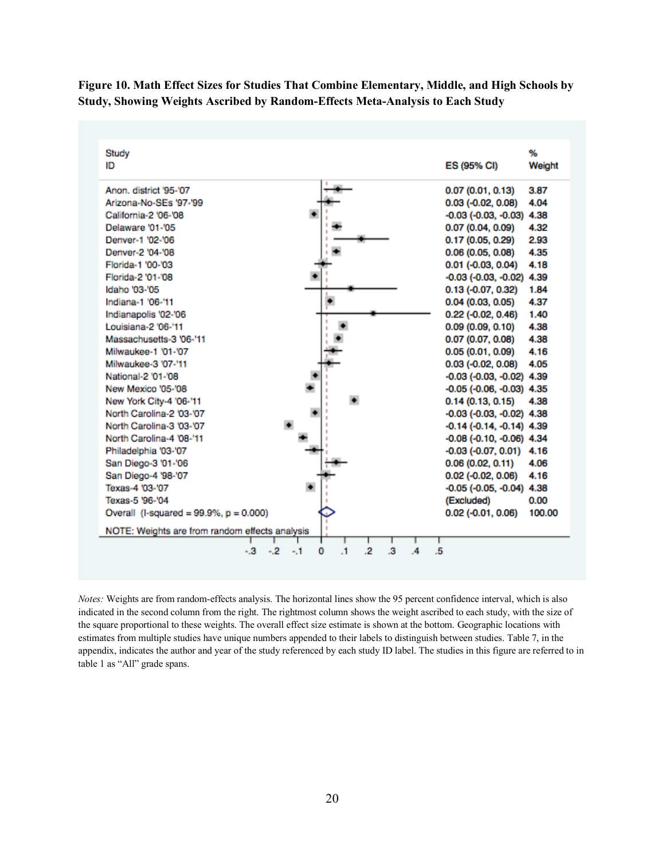**Figure 10. Math Effect Sizes for Studies That Combine Elementary, Middle, and High Schools by Study, Showing Weights Ascribed by Random-Effects Meta-Analysis to Each Study**

| Study<br>ID                                    | ES (95% CI)                   | %<br>Weight |
|------------------------------------------------|-------------------------------|-------------|
| Anon, district '95-'07                         | 0.07(0.01, 0.13)              | 3.87        |
| Arizona-No-SEs '97-'99                         | $0.03$ (-0.02, 0.08)          | 4.04        |
| California-2 '06-'08                           | $-0.03$ $(-0.03, -0.03)$ 4.38 |             |
| Delaware '01-'05                               | 0.07(0.04, 0.09)              | 4.32        |
| Denver-1 '02-'06                               | 0.17(0.05, 0.29)              | 2.93        |
| Denver-2 '04-'08                               | 0.06(0.05, 0.08)              | 4.35        |
| Florida-1 '00-'03                              | $0.01$ (-0.03, 0.04)          | 4.18        |
| Florida-2 '01-'08                              | $-0.03$ $(-0.03, -0.02)$ 4.39 |             |
| Idaho '03-'05                                  | $0.13$ (-0.07, 0.32)          | 1.84        |
| Indiana-1 '06-'11                              | 0.04(0.03, 0.05)              | 4.37        |
| Indianapolis '02-'06                           | $0.22$ (-0.02, 0.46)          | 1.40        |
| Louisiana-2 '06-'11                            | 0.09(0.09, 0.10)              | 4.38        |
| Massachusetts-3 '06-'11                        | 0.07(0.07, 0.08)              | 4.38        |
| Milwaukee-1 '01-'07                            | 0.05(0.01, 0.09)              | 4.16        |
| Milwaukee-3 '07-'11                            | $0.03$ (-0.02, 0.08)          | 4.05        |
| National-2 '01-'08                             | $-0.03$ $(-0.03, -0.02)$ 4.39 |             |
| New Mexico '05-'08                             | $-0.05$ $(-0.06, -0.03)$ 4.35 |             |
| New York City-4 '06-'11                        | 0.14(0.13, 0.15)              | 4.38        |
| North Carolina-2 '03-'07                       | $-0.03$ $(-0.03, -0.02)$ 4.38 |             |
| North Carolina-3 '03-'07                       | $-0.14(-0.14,-0.14)$ 4.39     |             |
| North Carolina-4 '08-'11                       | $-0.08$ $(-0.10, -0.06)$ 4.34 |             |
| Philadelphia '03-'07                           | $-0.03$ $(-0.07, 0.01)$ 4.16  |             |
| San Diego-3 '01-'06                            | 0.06(0.02, 0.11)              | 4.06        |
| San Diego-4 '98-'07                            | $0.02$ (-0.02, 0.06)          | 4.16        |
| Texas-4 \03-\07                                | $-0.05$ $(-0.05, -0.04)$ 4.38 |             |
| Texas-5 '96-'04                                | (Excluded)                    | 0.00        |
| Overall (I-squared = $99.9\%$ , $p = 0.000$ )  | $0.02$ (-0.01, 0.06)          | 100.00      |
| NOTE: Weights are from random effects analysis |                               |             |
|                                                |                               |             |

*Notes:* Weights are from random-effects analysis. The horizontal lines show the 95 percent confidence interval, which is also indicated in the second column from the right. The rightmost column shows the weight ascribed to each study, with the size of the square proportional to these weights. The overall effect size estimate is shown at the bottom. Geographic locations with estimates from multiple studies have unique numbers appended to their labels to distinguish between studies. Table 7, in the appendix, indicates the author and year of the study referenced by each study ID label. The studies in this figure are referred to in table 1 as "All" grade spans.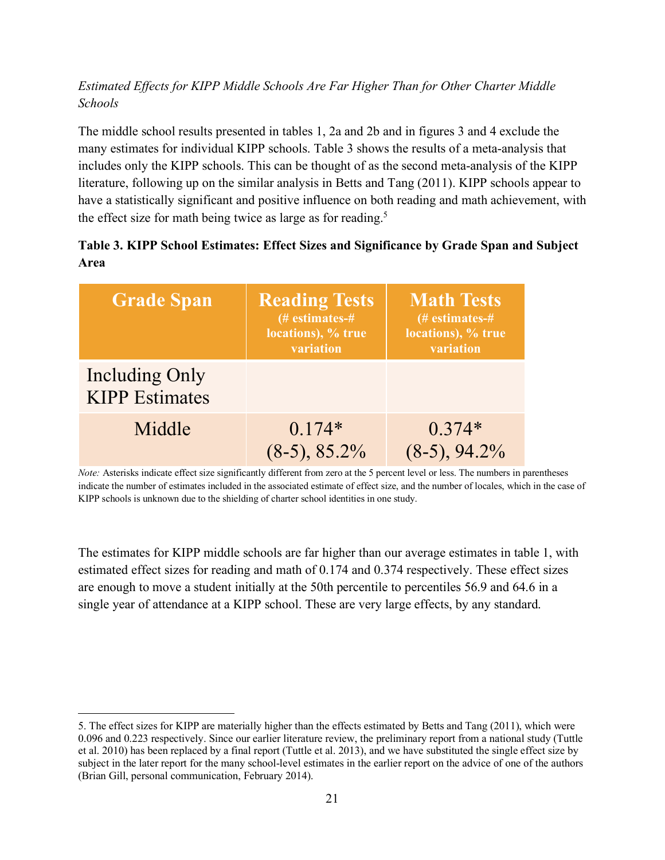# *Estimated Effects for KIPP Middle Schools Are Far Higher Than for Other Charter Middle Schools*

The middle school results presented in tables 1, 2a and 2b and in figures 3 and 4 exclude the many estimates for individual KIPP schools. Table 3 shows the results of a meta-analysis that includes only the KIPP schools. This can be thought of as the second meta-analysis of the KIPP literature, following up on the similar analysis in Betts and Tang (2011). KIPP schools appear to have a statistically significant and positive influence on both reading and math achievement, with the effect size for math being twice as large as for reading.<sup>5</sup>

|      | Table 3. KIPP School Estimates: Effect Sizes and Significance by Grade Span and Subject |  |  |
|------|-----------------------------------------------------------------------------------------|--|--|
| Area |                                                                                         |  |  |

| <b>Grade Span</b>                       | <b>Reading Tests</b><br>$#$ estimates-#<br>locations), % true<br>variation | <b>Math Tests</b><br>$#$ estimates-#<br>locations), % true<br>variation |
|-----------------------------------------|----------------------------------------------------------------------------|-------------------------------------------------------------------------|
| Including Only<br><b>KIPP</b> Estimates |                                                                            |                                                                         |
| Middle                                  | $0.174*$<br>$(8-5), 85.2\%$                                                | $0.374*$<br>$(8-5), 94.2\%$                                             |

*Note:* Asterisks indicate effect size significantly different from zero at the 5 percent level or less. The numbers in parentheses indicate the number of estimates included in the associated estimate of effect size, and the number of locales, which in the case of KIPP schools is unknown due to the shielding of charter school identities in one study.

The estimates for KIPP middle schools are far higher than our average estimates in table 1, with estimated effect sizes for reading and math of 0.174 and 0.374 respectively. These effect sizes are enough to move a student initially at the 50th percentile to percentiles 56.9 and 64.6 in a single year of attendance at a KIPP school. These are very large effects, by any standard.

l

<sup>5.</sup> The effect sizes for KIPP are materially higher than the effects estimated by Betts and Tang (2011), which were 0.096 and 0.223 respectively. Since our earlier literature review, the preliminary report from a national study (Tuttle et al. 2010) has been replaced by a final report (Tuttle et al. 2013), and we have substituted the single effect size by subject in the later report for the many school-level estimates in the earlier report on the advice of one of the authors (Brian Gill, personal communication, February 2014).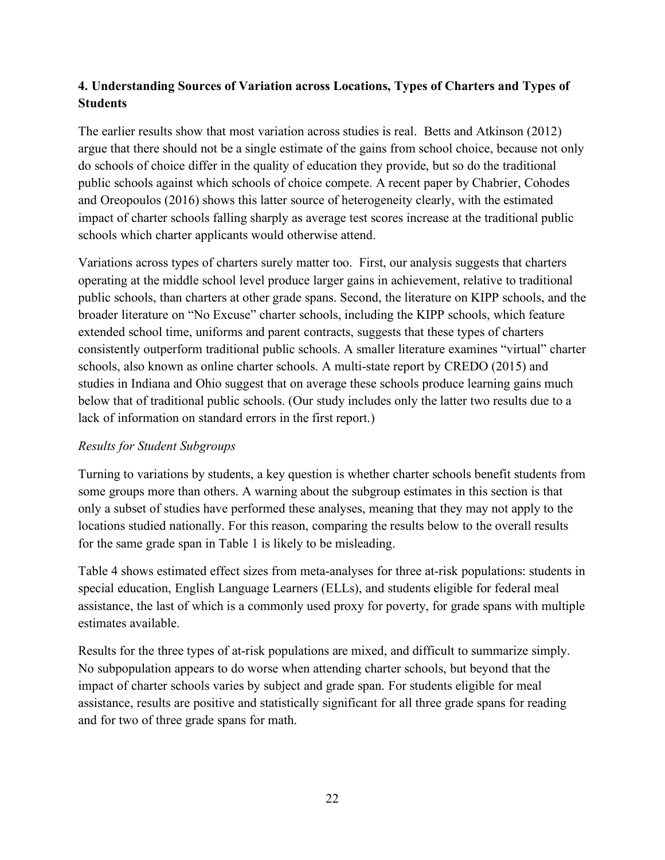# **4. Understanding Sources of Variation across Locations, Types of Charters and Types of Students**

The earlier results show that most variation across studies is real. Betts and Atkinson (2012) argue that there should not be a single estimate of the gains from school choice, because not only do schools of choice differ in the quality of education they provide, but so do the traditional public schools against which schools of choice compete. A recent paper by Chabrier, Cohodes and Oreopoulos (2016) shows this latter source of heterogeneity clearly, with the estimated impact of charter schools falling sharply as average test scores increase at the traditional public schools which charter applicants would otherwise attend.

Variations across types of charters surely matter too. First, our analysis suggests that charters operating at the middle school level produce larger gains in achievement, relative to traditional public schools, than charters at other grade spans. Second, the literature on KIPP schools, and the broader literature on "No Excuse" charter schools, including the KIPP schools, which feature extended school time, uniforms and parent contracts, suggests that these types of charters consistently outperform traditional public schools. A smaller literature examines "virtual" charter schools, also known as online charter schools. A multi-state report by CREDO (2015) and studies in Indiana and Ohio suggest that on average these schools produce learning gains much below that of traditional public schools. (Our study includes only the latter two results due to a lack of information on standard errors in the first report.)

### *Results for Student Subgroups*

Turning to variations by students, a key question is whether charter schools benefit students from some groups more than others. A warning about the subgroup estimates in this section is that only a subset of studies have performed these analyses, meaning that they may not apply to the locations studied nationally. For this reason, comparing the results below to the overall results for the same grade span in Table 1 is likely to be misleading.

Table 4 shows estimated effect sizes from meta-analyses for three at-risk populations: students in special education, English Language Learners (ELLs), and students eligible for federal meal assistance, the last of which is a commonly used proxy for poverty, for grade spans with multiple estimates available.

Results for the three types of at-risk populations are mixed, and difficult to summarize simply. No subpopulation appears to do worse when attending charter schools, but beyond that the impact of charter schools varies by subject and grade span. For students eligible for meal assistance, results are positive and statistically significant for all three grade spans for reading and for two of three grade spans for math.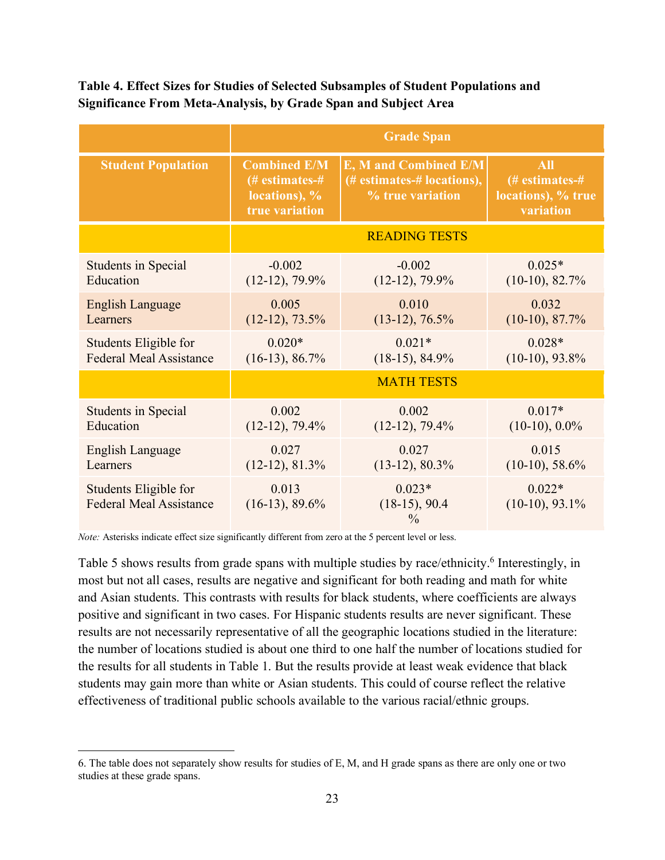|                                                         | <b>Grade Span</b>                                                                                                                                    |                                              |                                                                  |  |
|---------------------------------------------------------|------------------------------------------------------------------------------------------------------------------------------------------------------|----------------------------------------------|------------------------------------------------------------------|--|
| <b>Student Population</b>                               | <b>Combined E/M</b><br>E, M and Combined E/M<br>$#$ estimates-#<br>(# estimates-# locations),<br>% true variation<br>locations), %<br>true variation |                                              | <b>All</b><br>$#$ estimates-#<br>locations), % true<br>variation |  |
|                                                         |                                                                                                                                                      | <b>READING TESTS</b>                         |                                                                  |  |
| <b>Students in Special</b>                              | $-0.002$                                                                                                                                             | $-0.002$                                     | $0.025*$                                                         |  |
| Education                                               | $(12-12), 79.9\%$                                                                                                                                    | $(12-12), 79.9\%$                            | $(10-10), 82.7%$                                                 |  |
| <b>English Language</b>                                 | 0.005                                                                                                                                                | 0.010                                        | 0.032                                                            |  |
| Learners                                                | $(12-12), 73.5\%$                                                                                                                                    | $(13-12), 76.5\%$                            | $(10-10), 87.7%$                                                 |  |
| Students Eligible for                                   | $0.020*$                                                                                                                                             | $0.021*$                                     | $0.028*$                                                         |  |
| <b>Federal Meal Assistance</b>                          | $(16-13), 86.7%$                                                                                                                                     | $(18-15), 84.9%$                             | $(10-10), 93.8\%$                                                |  |
|                                                         |                                                                                                                                                      | <b>MATH TESTS</b>                            |                                                                  |  |
| <b>Students in Special</b>                              | 0.002                                                                                                                                                | 0.002                                        | $0.017*$                                                         |  |
| Education                                               | $(12-12), 79.4\%$                                                                                                                                    | $(12-12), 79.4\%$                            | $(10-10), 0.0\%$                                                 |  |
| English Language                                        | 0.027                                                                                                                                                | 0.027                                        | 0.015                                                            |  |
| Learners                                                | $(12-12), 81.3%$                                                                                                                                     | $(13-12), 80.3%$                             | $(10-10), 58.6\%$                                                |  |
| Students Eligible for<br><b>Federal Meal Assistance</b> | 0.013<br>$(16-13), 89.6\%$                                                                                                                           | $0.023*$<br>$(18-15), 90.4$<br>$\frac{0}{0}$ | $0.022*$<br>$(10-10), 93.1\%$                                    |  |

**Table 4. Effect Sizes for Studies of Selected Subsamples of Student Populations and Significance From Meta-Analysis, by Grade Span and Subject Area** 

*Note:* Asterisks indicate effect size significantly different from zero at the 5 percent level or less.

l

Table 5 shows results from grade spans with multiple studies by race/ethnicity.<sup>6</sup> Interestingly, in most but not all cases, results are negative and significant for both reading and math for white and Asian students. This contrasts with results for black students, where coefficients are always positive and significant in two cases. For Hispanic students results are never significant. These results are not necessarily representative of all the geographic locations studied in the literature: the number of locations studied is about one third to one half the number of locations studied for the results for all students in Table 1. But the results provide at least weak evidence that black students may gain more than white or Asian students. This could of course reflect the relative effectiveness of traditional public schools available to the various racial/ethnic groups.

<sup>6.</sup> The table does not separately show results for studies of E, M, and H grade spans as there are only one or two studies at these grade spans.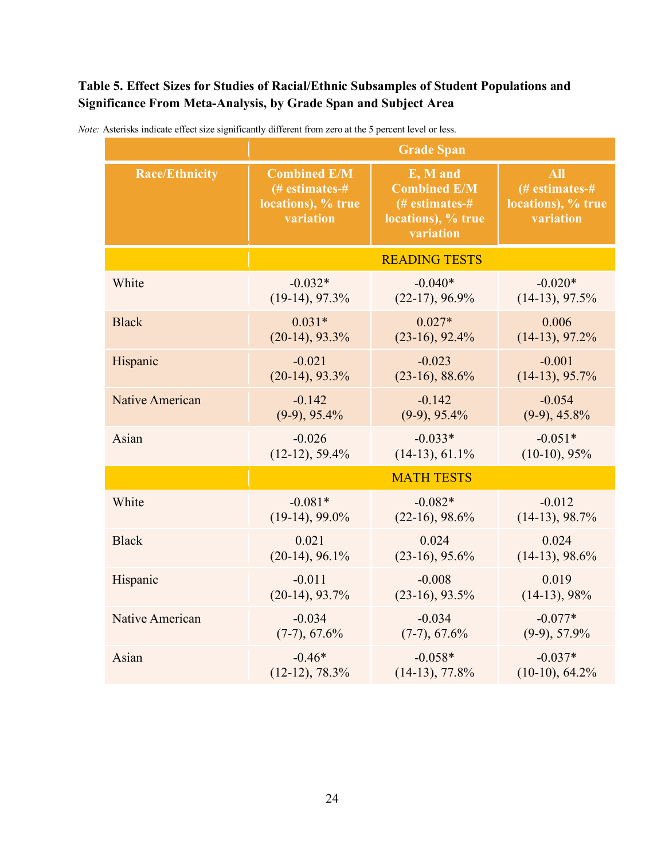# **Table 5. Effect Sizes for Studies of Racial/Ethnic Subsamples of Student Populations and Significance From Meta-Analysis, by Grade Span and Subject Area**

|                        | <b>Grade Span</b>                                                                                                                                                  |                      |                                                                  |  |  |  |
|------------------------|--------------------------------------------------------------------------------------------------------------------------------------------------------------------|----------------------|------------------------------------------------------------------|--|--|--|
| <b>Race/Ethnicity</b>  | <b>Combined E/M</b><br>E, M and<br>$# estimates-#$<br><b>Combined E/M</b><br>locations), % true<br>$# estimates-#$<br>locations), % true<br>variation<br>variation |                      | <b>All</b><br>$# estimates-#$<br>locations), % true<br>variation |  |  |  |
|                        |                                                                                                                                                                    | <b>READING TESTS</b> |                                                                  |  |  |  |
| White                  | $-0.032*$                                                                                                                                                          | $-0.040*$            | $-0.020*$                                                        |  |  |  |
|                        | $(19-14), 97.3%$                                                                                                                                                   | $(22-17), 96.9%$     | $(14-13), 97.5%$                                                 |  |  |  |
| <b>Black</b>           | $0.031*$                                                                                                                                                           | $0.027*$             | 0.006                                                            |  |  |  |
|                        | $(20-14), 93.3%$                                                                                                                                                   | $(23-16), 92.4%$     | $(14-13), 97.2%$                                                 |  |  |  |
| Hispanic               | $-0.021$                                                                                                                                                           | $-0.023$             | $-0.001$                                                         |  |  |  |
|                        | $(20-14), 93.3\%$                                                                                                                                                  | $(23-16)$ , 88.6%    | $(14-13), 95.7\%$                                                |  |  |  |
| <b>Native American</b> | $-0.142$                                                                                                                                                           | $-0.142$             | $-0.054$                                                         |  |  |  |
|                        | $(9-9), 95.4\%$                                                                                                                                                    | $(9-9), 95.4\%$      | $(9-9), 45.8\%$                                                  |  |  |  |
| Asian                  | $-0.026$                                                                                                                                                           | $-0.033*$            | $-0.051*$                                                        |  |  |  |
|                        | $(12-12), 59.4\%$                                                                                                                                                  | $(14-13), 61.1\%$    | $(10-10), 95%$                                                   |  |  |  |
|                        | <b>MATH TESTS</b>                                                                                                                                                  |                      |                                                                  |  |  |  |
| White                  | $-0.081*$                                                                                                                                                          | $-0.082*$            | $-0.012$                                                         |  |  |  |
|                        | $(19-14), 99.0\%$                                                                                                                                                  | $(22-16)$ , 98.6%    | $(14-13), 98.7\%$                                                |  |  |  |
| <b>Black</b>           | 0.021                                                                                                                                                              | 0.024                | 0.024                                                            |  |  |  |
|                        | $(20-14), 96.1\%$                                                                                                                                                  | $(23-16), 95.6\%$    | $(14-13), 98.6\%$                                                |  |  |  |
| Hispanic               | $-0.011$                                                                                                                                                           | $-0.008$             | 0.019                                                            |  |  |  |
|                        | $(20-14), 93.7\%$                                                                                                                                                  | $(23-16), 93.5\%$    | $(14-13), 98%$                                                   |  |  |  |
| Native American        | $-0.034$                                                                                                                                                           | $-0.034$             | $-0.077*$                                                        |  |  |  |
|                        | $(7-7), 67.6%$                                                                                                                                                     | $(7-7), 67.6%$       | $(9-9), 57.9%$                                                   |  |  |  |
| Asian                  | $-0.46*$                                                                                                                                                           | $-0.058*$            | $-0.037*$                                                        |  |  |  |
|                        | $(12-12), 78.3\%$                                                                                                                                                  | $(14-13), 77.8\%$    | $(10-10), 64.2\%$                                                |  |  |  |

*Note:* Asterisks indicate effect size significantly different from zero at the 5 percent level or less.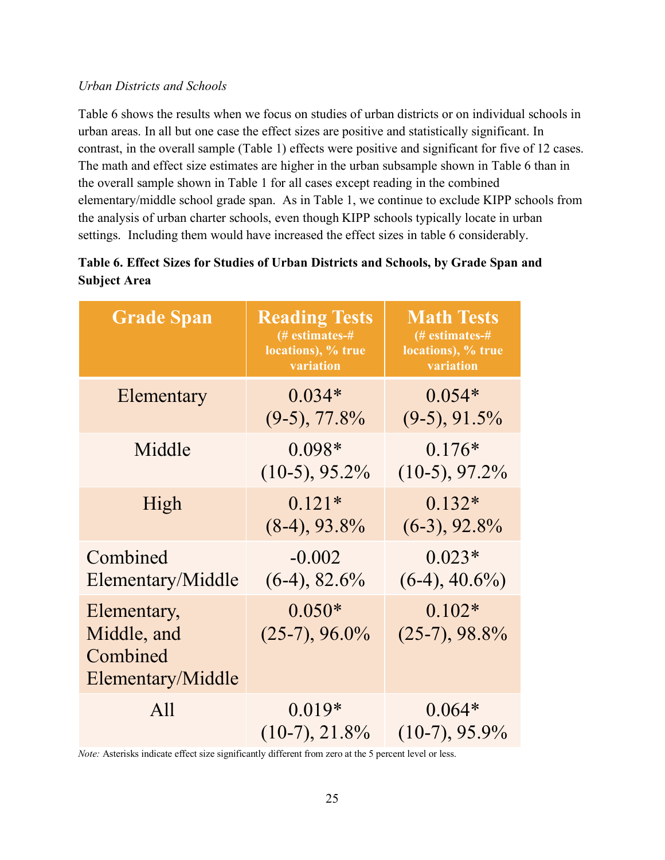#### *Urban Districts and Schools*

Table 6 shows the results when we focus on studies of urban districts or on individual schools in urban areas. In all but one case the effect sizes are positive and statistically significant. In contrast, in the overall sample (Table 1) effects were positive and significant for five of 12 cases. The math and effect size estimates are higher in the urban subsample shown in Table 6 than in the overall sample shown in Table 1 for all cases except reading in the combined elementary/middle school grade span. As in Table 1, we continue to exclude KIPP schools from the analysis of urban charter schools, even though KIPP schools typically locate in urban settings. Including them would have increased the effect sizes in table 6 considerably.

|                     |  |  | Table 6. Effect Sizes for Studies of Urban Districts and Schools, by Grade Span and |
|---------------------|--|--|-------------------------------------------------------------------------------------|
| <b>Subject Area</b> |  |  |                                                                                     |

| <b>Grade Span</b>                                           | <b>Reading Tests</b><br>$# estimates-#$<br>locations), % true<br>variation | <b>Math Tests</b><br>$#$ estimates-#<br>locations), % true<br>variation |
|-------------------------------------------------------------|----------------------------------------------------------------------------|-------------------------------------------------------------------------|
| Elementary                                                  | $0.034*$<br>$(9-5)$ , 77.8%                                                | $0.054*$<br>$(9-5), 91.5\%$                                             |
| Middle                                                      | $0.098*$<br>$(10-5), 95.2\%$                                               | $0.176*$<br>$(10-5), 97.2\%$                                            |
| High                                                        | $0.121*$<br>$(8-4), 93.8\%$                                                | $0.132*$<br>$(6-3), 92.8\%$                                             |
| Combined<br>Elementary/Middle                               | $-0.002$<br>$(6-4), 82.6%$                                                 | $0.023*$<br>$(6-4), 40.6\%)$                                            |
| Elementary,<br>Middle, and<br>Combined<br>Elementary/Middle | $0.050*$<br>$(25-7), 96.0\%$                                               | $0.102*$<br>$(25-7), 98.8\%$                                            |
| All                                                         | $0.019*$<br>$(10-7), 21.8\%$                                               | $0.064*$<br>$(10-7), 95.9\%$                                            |

*Note:* Asterisks indicate effect size significantly different from zero at the 5 percent level or less.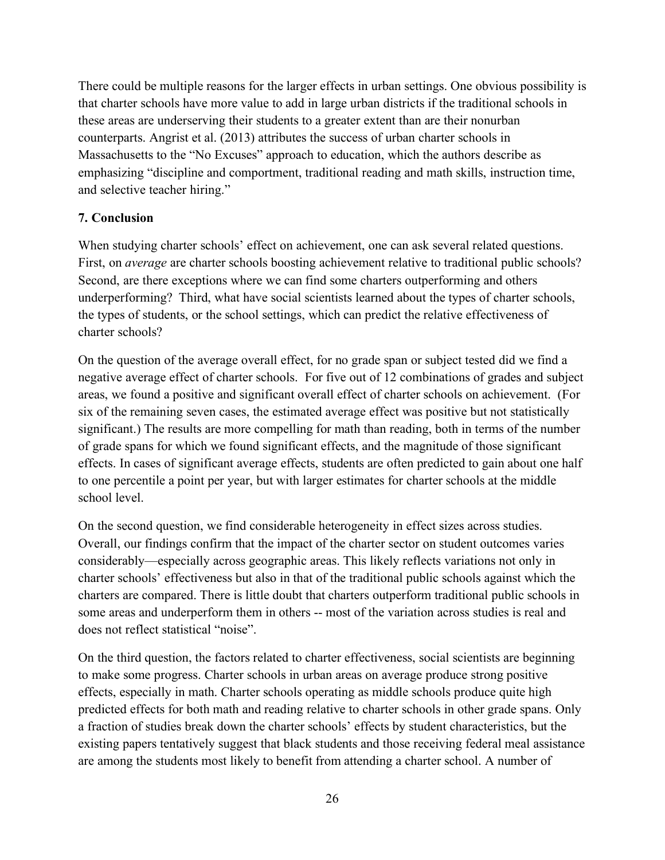There could be multiple reasons for the larger effects in urban settings. One obvious possibility is that charter schools have more value to add in large urban districts if the traditional schools in these areas are underserving their students to a greater extent than are their nonurban counterparts. Angrist et al. (2013) attributes the success of urban charter schools in Massachusetts to the "No Excuses" approach to education, which the authors describe as emphasizing "discipline and comportment, traditional reading and math skills, instruction time, and selective teacher hiring."

### **7. Conclusion**

When studying charter schools' effect on achievement, one can ask several related questions. First, on *average* are charter schools boosting achievement relative to traditional public schools? Second, are there exceptions where we can find some charters outperforming and others underperforming? Third, what have social scientists learned about the types of charter schools, the types of students, or the school settings, which can predict the relative effectiveness of charter schools?

On the question of the average overall effect, for no grade span or subject tested did we find a negative average effect of charter schools. For five out of 12 combinations of grades and subject areas, we found a positive and significant overall effect of charter schools on achievement. (For six of the remaining seven cases, the estimated average effect was positive but not statistically significant.) The results are more compelling for math than reading, both in terms of the number of grade spans for which we found significant effects, and the magnitude of those significant effects. In cases of significant average effects, students are often predicted to gain about one half to one percentile a point per year, but with larger estimates for charter schools at the middle school level.

On the second question, we find considerable heterogeneity in effect sizes across studies. Overall, our findings confirm that the impact of the charter sector on student outcomes varies considerably—especially across geographic areas. This likely reflects variations not only in charter schools' effectiveness but also in that of the traditional public schools against which the charters are compared. There is little doubt that charters outperform traditional public schools in some areas and underperform them in others -- most of the variation across studies is real and does not reflect statistical "noise".

On the third question, the factors related to charter effectiveness, social scientists are beginning to make some progress. Charter schools in urban areas on average produce strong positive effects, especially in math. Charter schools operating as middle schools produce quite high predicted effects for both math and reading relative to charter schools in other grade spans. Only a fraction of studies break down the charter schools' effects by student characteristics, but the existing papers tentatively suggest that black students and those receiving federal meal assistance are among the students most likely to benefit from attending a charter school. A number of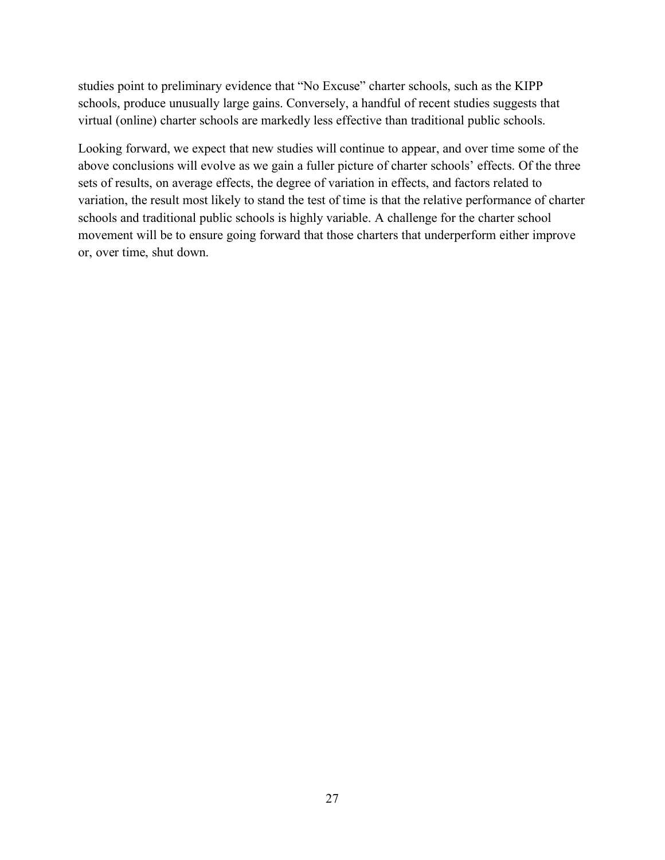studies point to preliminary evidence that "No Excuse" charter schools, such as the KIPP schools, produce unusually large gains. Conversely, a handful of recent studies suggests that virtual (online) charter schools are markedly less effective than traditional public schools.

Looking forward, we expect that new studies will continue to appear, and over time some of the above conclusions will evolve as we gain a fuller picture of charter schools' effects. Of the three sets of results, on average effects, the degree of variation in effects, and factors related to variation, the result most likely to stand the test of time is that the relative performance of charter schools and traditional public schools is highly variable. A challenge for the charter school movement will be to ensure going forward that those charters that underperform either improve or, over time, shut down.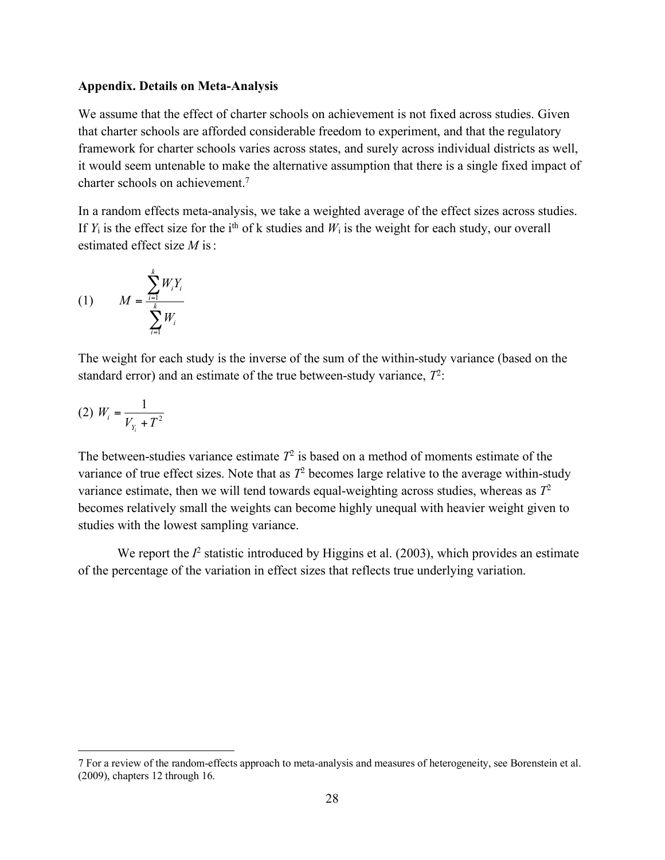#### **Appendix. Details on Meta-Analysis**

We assume that the effect of charter schools on achievement is not fixed across studies. Given that charter schools are afforded considerable freedom to experiment, and that the regulatory framework for charter schools varies across states, and surely across individual districts as well, it would seem untenable to make the alternative assumption that there is a single fixed impact of charter schools on achievement.7

In a random effects meta-analysis, we take a weighted average of the effect sizes across studies. If  $Y_i$  is the effect size for the i<sup>th</sup> of k studies and  $W_i$  is the weight for each study, our overall estimated effect size *M* is:

$$
(1) \qquad M = \frac{\sum_{i=1}^{k} W_i Y_i}{\sum_{i=1}^{k} W_i}
$$

The weight for each study is the inverse of the sum of the within-study variance (based on the standard error) and an estimate of the true between-study variance, *T*<sup>2</sup> :

$$
(2) W_i = \frac{1}{V_{Y_i} + T^2}
$$

l

The between-studies variance estimate  $T^2$  is based on a method of moments estimate of the variance of true effect sizes. Note that as  $T^2$  becomes large relative to the average within-study variance estimate, then we will tend towards equal-weighting across studies, whereas as *T*<sup>2</sup> becomes relatively small the weights can become highly unequal with heavier weight given to studies with the lowest sampling variance.

We report the  $I^2$  statistic introduced by Higgins et al. (2003), which provides an estimate of the percentage of the variation in effect sizes that reflects true underlying variation.

<sup>7</sup> For a review of the random-effects approach to meta-analysis and measures of heterogeneity, see Borenstein et al. (2009), chapters 12 through 16.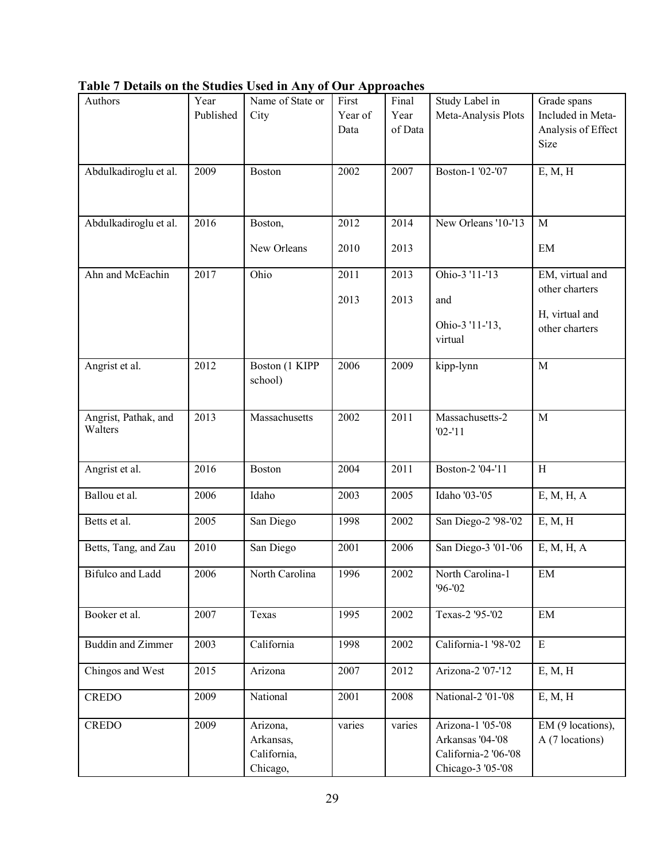| Authors                         | Year<br>Published | Name of State or<br>City                         | First<br>Year of | Final<br>Year | Study Label in<br>Meta-Analysis Plots                                              | Grade spans<br>Included in Meta-     |
|---------------------------------|-------------------|--------------------------------------------------|------------------|---------------|------------------------------------------------------------------------------------|--------------------------------------|
|                                 |                   |                                                  | Data             | of Data       |                                                                                    | Analysis of Effect<br>Size           |
| Abdulkadiroglu et al.           | 2009              | <b>Boston</b>                                    | 2002             | 2007          | Boston-1 '02-'07                                                                   | E, M, H                              |
|                                 |                   |                                                  |                  |               |                                                                                    |                                      |
| Abdulkadiroglu et al.           | 2016              | Boston,                                          | 2012             | 2014          | New Orleans '10-'13                                                                | $\mathbf M$                          |
|                                 |                   | New Orleans                                      | 2010             | 2013          |                                                                                    | EM                                   |
| Ahn and McEachin                | 2017              | Ohio                                             | 2011             | 2013          | Ohio-3 '11-'13                                                                     | EM, virtual and<br>other charters    |
|                                 |                   |                                                  | 2013             | 2013          | and                                                                                |                                      |
|                                 |                   |                                                  |                  |               | Ohio-3 '11-'13,<br>virtual                                                         | H, virtual and<br>other charters     |
| Angrist et al.                  | 2012              | Boston (1 KIPP<br>school)                        | 2006             | 2009          | kipp-lynn                                                                          | M                                    |
| Angrist, Pathak, and<br>Walters | 2013              | Massachusetts                                    | 2002             | 2011          | Massachusetts-2<br>$'02 - '11$                                                     | M                                    |
| Angrist et al.                  | 2016              | <b>Boston</b>                                    | 2004             | 2011          | Boston-2 '04-'11                                                                   | $\rm H$                              |
| Ballou et al.                   | 2006              | Idaho                                            | 2003             | 2005          | Idaho '03-'05                                                                      | E, M, H, A                           |
| Betts et al.                    | 2005              | San Diego                                        | 1998             | 2002          | San Diego-2 '98-'02                                                                | E, M, H                              |
| Betts, Tang, and Zau            | 2010              | San Diego                                        | 2001             | 2006          | San Diego-3 '01-'06                                                                | E, M, H, A                           |
| Bifulco and Ladd                | 2006              | North Carolina                                   | 1996             | 2002          | North Carolina-1<br>$96 - 02$                                                      | EM                                   |
| Booker et al.                   | 2007              | Texas                                            | 1995             | 2002          | Texas-2 '95-'02                                                                    | EM                                   |
| <b>Buddin and Zimmer</b>        | 2003              | California                                       | 1998             | 2002          | California-1 '98-'02                                                               | E                                    |
| Chingos and West                | 2015              | Arizona                                          | 2007             | 2012          | Arizona-2 '07-'12                                                                  | E, M, H                              |
| <b>CREDO</b>                    | 2009              | National                                         | 2001             | 2008          | National-2 '01-'08                                                                 | E, M, H                              |
| <b>CREDO</b>                    | 2009              | Arizona,<br>Arkansas,<br>California,<br>Chicago, | varies           | varies        | Arizona-1 '05-'08<br>Arkansas '04-'08<br>California-2 '06-'08<br>Chicago-3 '05-'08 | EM (9 locations),<br>A (7 locations) |

# **Table 7 Details on the Studies Used in Any of Our Approaches**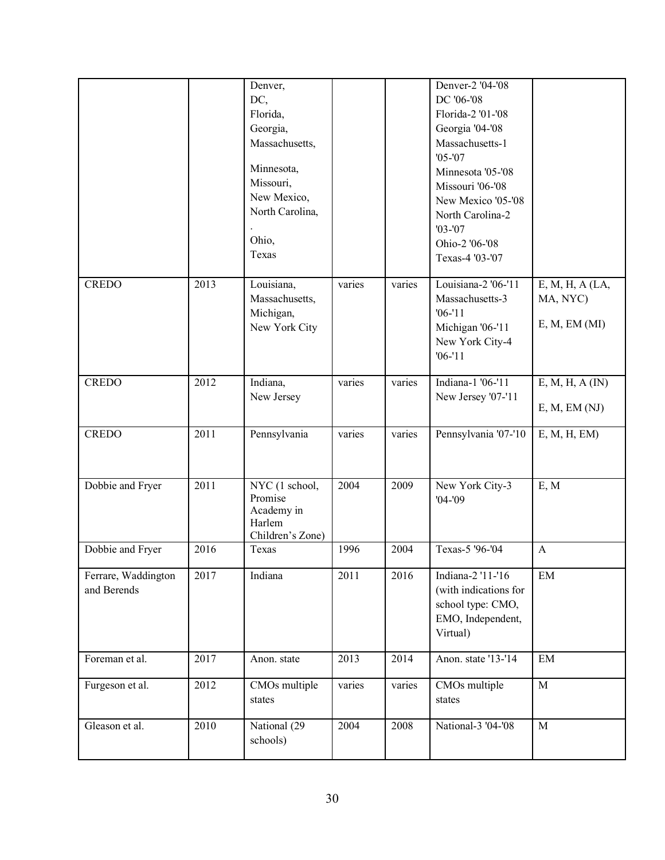|                                    |      | Denver,<br>DC,<br>Florida,<br>Georgia,<br>Massachusetts,<br>Minnesota,<br>Missouri,<br>New Mexico, |        |        | Denver-2 '04-'08<br>DC '06-'08<br>Florida-2 '01-'08<br>Georgia '04-'08<br>Massachusetts-1<br>$'05 - '07$<br>Minnesota '05-'08<br>Missouri '06-'08<br>New Mexico '05-'08 |                                            |
|------------------------------------|------|----------------------------------------------------------------------------------------------------|--------|--------|-------------------------------------------------------------------------------------------------------------------------------------------------------------------------|--------------------------------------------|
|                                    |      | North Carolina,<br>Ohio,<br>Texas                                                                  |        |        | North Carolina-2<br>$'03 - '07$<br>Ohio-2 '06-'08<br>Texas-4 '03-'07                                                                                                    |                                            |
| CREDO                              | 2013 | Louisiana,<br>Massachusetts,<br>Michigan,<br>New York City                                         | varies | varies | Louisiana-2 '06-'11<br>Massachusetts-3<br>$'06-'11$<br>Michigan '06-'11<br>New York City-4<br>$'06-'11$                                                                 | E, M, H, A(LA,<br>MA, NYC)<br>E, M, EM(MI) |
| <b>CREDO</b>                       | 2012 | Indiana,<br>New Jersey                                                                             | varies | varies | Indiana-1 '06-'11<br>New Jersey '07-'11                                                                                                                                 | E, M, H, A (IN)<br>E, M, EM(NJ)            |
| <b>CREDO</b>                       | 2011 | Pennsylvania                                                                                       | varies | varies | Pennsylvania '07-'10                                                                                                                                                    | E, M, H, EM                                |
| Dobbie and Fryer                   | 2011 | NYC (1 school,<br>Promise<br>Academy in<br>Harlem<br>Children's Zone)                              | 2004   | 2009   | New York City-3<br>$'04 - '09$                                                                                                                                          | E, M                                       |
| Dobbie and Fryer                   | 2016 | Texas                                                                                              | 1996   | 2004   | Texas-5 '96-'04                                                                                                                                                         | A                                          |
| Ferrare, Waddington<br>and Berends | 2017 | Indiana                                                                                            | 2011   | 2016   | Indiana-2 '11-'16<br>(with indications for<br>school type: CMO,<br>EMO, Independent,<br>Virtual)                                                                        | EM                                         |
| Foreman et al.                     | 2017 | Anon. state                                                                                        | 2013   | 2014   | Anon. state '13-'14                                                                                                                                                     | EM                                         |
| Furgeson et al.                    | 2012 | CMO <sub>s</sub> multiple<br>states                                                                | varies | varies | CMOs multiple<br>states                                                                                                                                                 | $\mathbf{M}$                               |
| Gleason et al.                     | 2010 | National (29<br>schools)                                                                           | 2004   | 2008   | National-3 '04-'08                                                                                                                                                      | M                                          |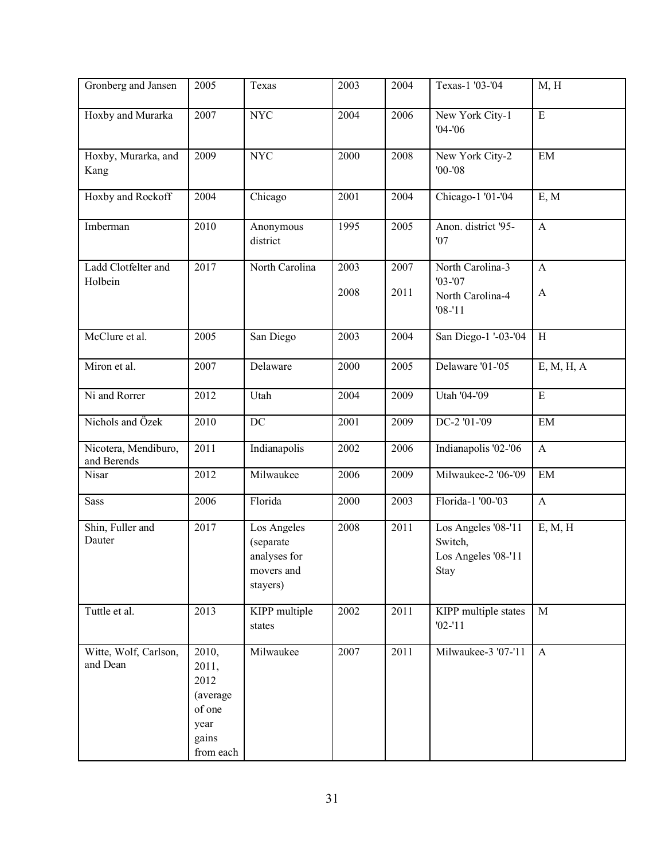| Gronberg and Jansen                 | 2005                                                                       | Texas                                                              | 2003         | 2004         | Texas-1 '03-'04                                                   | M, H              |
|-------------------------------------|----------------------------------------------------------------------------|--------------------------------------------------------------------|--------------|--------------|-------------------------------------------------------------------|-------------------|
| Hoxby and Murarka                   | 2007                                                                       | <b>NYC</b>                                                         | 2004         | 2006         | New York City-1<br>$'04 - '06$                                    | $\overline{E}$    |
| Hoxby, Murarka, and<br>Kang         | 2009                                                                       | <b>NYC</b>                                                         | 2000         | 2008         | New York City-2<br>$'00 - '08$                                    | EM                |
| Hoxby and Rockoff                   | 2004                                                                       | Chicago                                                            | 2001         | 2004         | Chicago-1 '01-'04                                                 | E, M              |
| Imberman                            | 2010                                                                       | Anonymous<br>district                                              | 1995         | 2005         | Anon. district '95-<br>'07                                        | $\mathbf{A}$      |
| Ladd Clotfelter and<br>Holbein      | 2017                                                                       | North Carolina                                                     | 2003<br>2008 | 2007<br>2011 | North Carolina-3<br>$'03 - '07$<br>North Carolina-4<br>$'08 - 11$ | $\mathbf{A}$<br>A |
| McClure et al.                      | 2005                                                                       | San Diego                                                          | 2003         | 2004         | San Diego-1 '-03-'04                                              | $\, {\rm H}$      |
| Miron et al.                        | 2007                                                                       | Delaware                                                           | 2000         | 2005         | Delaware '01-'05                                                  | E, M, H, A        |
| Ni and Rorrer                       | 2012                                                                       | Utah                                                               | 2004         | 2009         | Utah '04-'09                                                      | E                 |
| Nichols and Özek                    | 2010                                                                       | DC                                                                 | 2001         | 2009         | DC-2 '01-'09                                                      | EM                |
| Nicotera, Mendiburo,<br>and Berends | 2011                                                                       | Indianapolis                                                       | 2002         | 2006         | Indianapolis '02-'06                                              | $\mathbf{A}$      |
| Nisar                               | 2012                                                                       | Milwaukee                                                          | 2006         | 2009         | Milwaukee-2 '06-'09                                               | EM                |
| Sass                                | 2006                                                                       | Florida                                                            | 2000         | 2003         | Florida-1 '00-'03                                                 | $\mathbf{A}$      |
| Shin, Fuller and<br>Dauter          | 2017                                                                       | Los Angeles<br>(separate<br>analyses for<br>movers and<br>stayers) | 2008         | 2011         | Los Angeles '08-'11<br>Switch,<br>Los Angeles '08-'11<br>Stay     | E, M, H           |
| Tuttle et al.                       | 2013                                                                       | KIPP multiple<br>states                                            | 2002         | 2011         | KIPP multiple states<br>$'02 - 11$                                | $\mathbf{M}$      |
| Witte, Wolf, Carlson,<br>and Dean   | 2010,<br>2011,<br>2012<br>(average<br>of one<br>year<br>gains<br>from each | Milwaukee                                                          | 2007         | 2011         | Milwaukee-3 '07-'11                                               | $\mathbf{A}$      |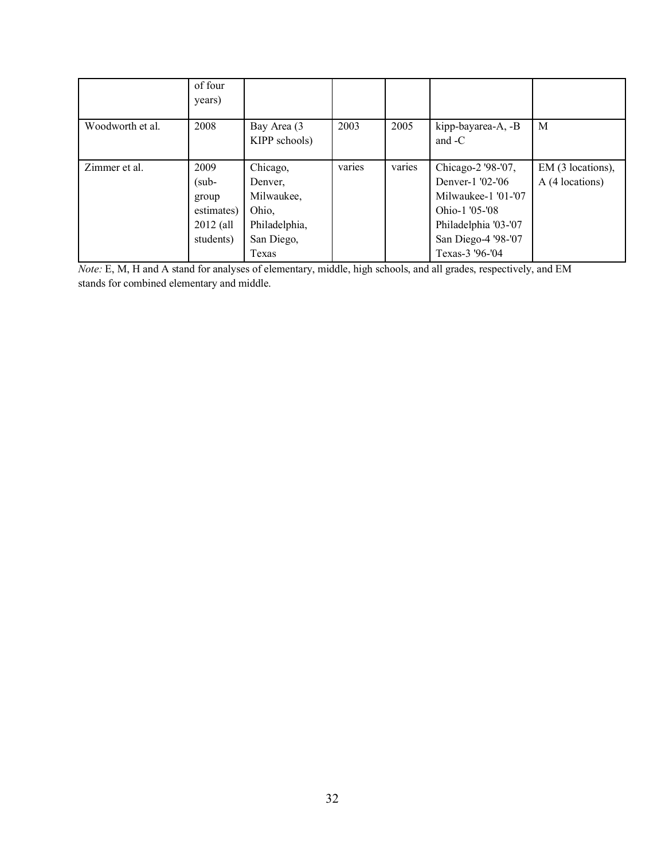|                  | of four<br>years)                                                  |                                                                                    |        |        |                                                                                                                                                   |                                      |
|------------------|--------------------------------------------------------------------|------------------------------------------------------------------------------------|--------|--------|---------------------------------------------------------------------------------------------------------------------------------------------------|--------------------------------------|
| Woodworth et al. | 2008                                                               | Bay Area (3)<br>KIPP schools)                                                      | 2003   | 2005   | kipp-bayarea-A, -B<br>and -C                                                                                                                      | M                                    |
| Zimmer et al.    | 2009<br>$(sub-$<br>group<br>estimates)<br>$2012$ (all<br>students) | Chicago,<br>Denver,<br>Milwaukee,<br>Ohio,<br>Philadelphia,<br>San Diego,<br>Texas | varies | varies | Chicago-2 '98-'07,<br>Denver-1 '02-'06<br>Milwaukee-1 '01-'07<br>Ohio-1 '05-'08<br>Philadelphia '03-'07<br>San Diego-4 '98-'07<br>Texas-3 '96-'04 | EM (3 locations),<br>A (4 locations) |

*Note:* E, M, H and A stand for analyses of elementary, middle, high schools, and all grades, respectively, and EM stands for combined elementary and middle.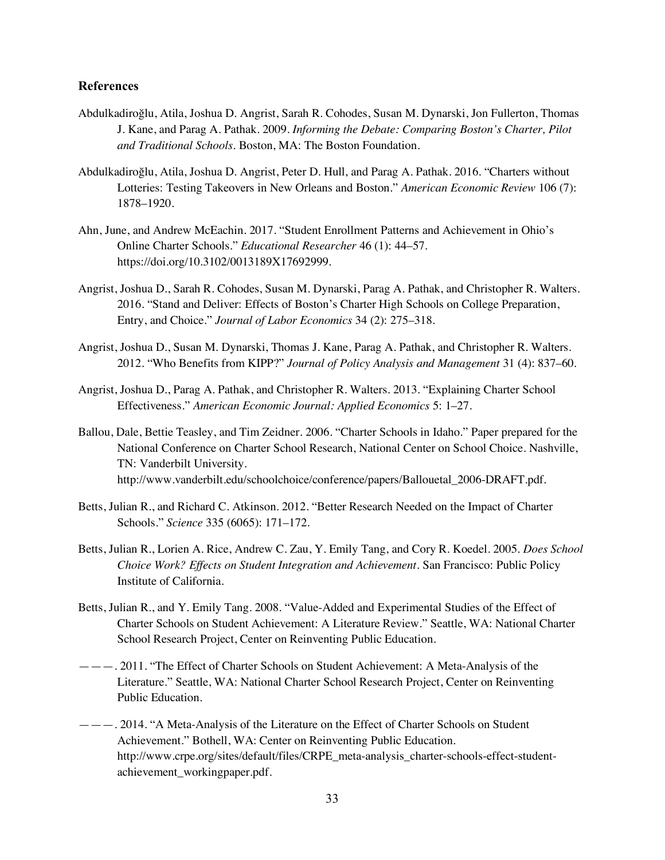#### **References**

- Abdulkadiroğlu, Atila, Joshua D. Angrist, Sarah R. Cohodes, Susan M. Dynarski, Jon Fullerton, Thomas J. Kane, and Parag A. Pathak. 2009. *Informing the Debate: Comparing Boston's Charter, Pilot and Traditional Schools*. Boston, MA: The Boston Foundation.
- Abdulkadiroğlu, Atila, Joshua D. Angrist, Peter D. Hull, and Parag A. Pathak. 2016. "Charters without Lotteries: Testing Takeovers in New Orleans and Boston." *American Economic Review* 106 (7): 1878–1920.
- Ahn, June, and Andrew McEachin. 2017. "Student Enrollment Patterns and Achievement in Ohio's Online Charter Schools." *Educational Researcher* 46 (1): 44–57. https://doi.org/10.3102/0013189X17692999.
- Angrist, Joshua D., Sarah R. Cohodes, Susan M. Dynarski, Parag A. Pathak, and Christopher R. Walters. 2016. "Stand and Deliver: Effects of Boston's Charter High Schools on College Preparation, Entry, and Choice." *Journal of Labor Economics* 34 (2): 275–318.
- Angrist, Joshua D., Susan M. Dynarski, Thomas J. Kane, Parag A. Pathak, and Christopher R. Walters. 2012. "Who Benefits from KIPP?" *Journal of Policy Analysis and Management* 31 (4): 837–60.
- Angrist, Joshua D., Parag A. Pathak, and Christopher R. Walters. 2013. "Explaining Charter School Effectiveness." *American Economic Journal: Applied Economics* 5: 1–27.
- Ballou, Dale, Bettie Teasley, and Tim Zeidner. 2006. "Charter Schools in Idaho." Paper prepared for the National Conference on Charter School Research, National Center on School Choice. Nashville, TN: Vanderbilt University. http://www.vanderbilt.edu/schoolchoice/conference/papers/Ballouetal\_2006-DRAFT.pdf.
- Betts, Julian R., and Richard C. Atkinson. 2012. "Better Research Needed on the Impact of Charter Schools." *Science* 335 (6065): 171–172.
- Betts, Julian R., Lorien A. Rice, Andrew C. Zau, Y. Emily Tang, and Cory R. Koedel. 2005. *Does School Choice Work? Effects on Student Integration and Achievement*. San Francisco: Public Policy Institute of California.
- Betts, Julian R., and Y. Emily Tang. 2008. "Value-Added and Experimental Studies of the Effect of Charter Schools on Student Achievement: A Literature Review." Seattle, WA: National Charter School Research Project, Center on Reinventing Public Education.
- ———. 2011. "The Effect of Charter Schools on Student Achievement: A Meta-Analysis of the Literature." Seattle, WA: National Charter School Research Project, Center on Reinventing Public Education.
- ———. 2014. "A Meta-Analysis of the Literature on the Effect of Charter Schools on Student Achievement." Bothell, WA: Center on Reinventing Public Education. http://www.crpe.org/sites/default/files/CRPE\_meta-analysis\_charter-schools-effect-studentachievement\_workingpaper.pdf.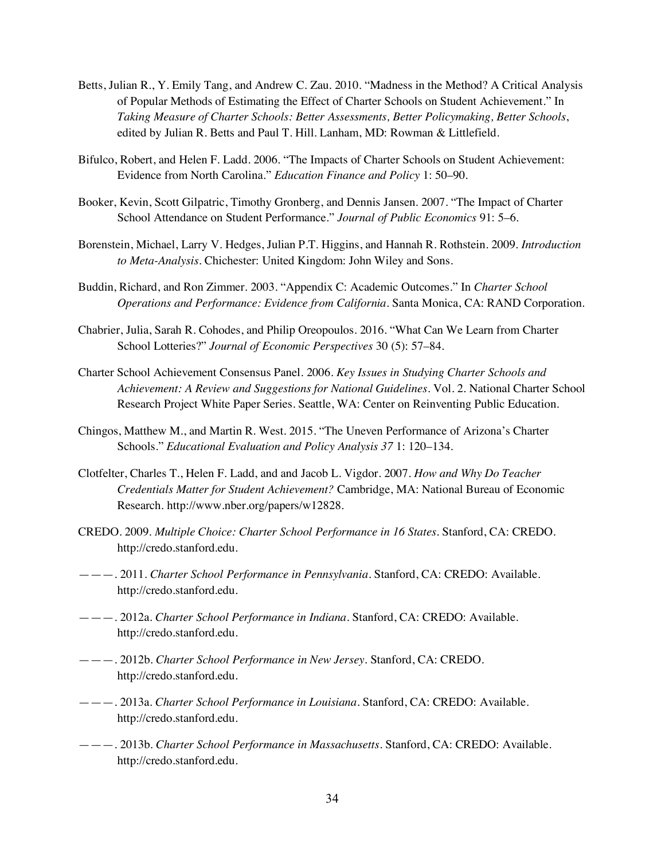- Betts, Julian R., Y. Emily Tang, and Andrew C. Zau. 2010. "Madness in the Method? A Critical Analysis of Popular Methods of Estimating the Effect of Charter Schools on Student Achievement." In *Taking Measure of Charter Schools: Better Assessments, Better Policymaking, Better Schools*, edited by Julian R. Betts and Paul T. Hill. Lanham, MD: Rowman & Littlefield.
- Bifulco, Robert, and Helen F. Ladd. 2006. "The Impacts of Charter Schools on Student Achievement: Evidence from North Carolina." *Education Finance and Policy* 1: 50–90.
- Booker, Kevin, Scott Gilpatric, Timothy Gronberg, and Dennis Jansen. 2007. "The Impact of Charter School Attendance on Student Performance." *Journal of Public Economics* 91: 5–6.
- Borenstein, Michael, Larry V. Hedges, Julian P.T. Higgins, and Hannah R. Rothstein. 2009. *Introduction to Meta-Analysis*. Chichester: United Kingdom: John Wiley and Sons.
- Buddin, Richard, and Ron Zimmer. 2003. "Appendix C: Academic Outcomes." In *Charter School Operations and Performance: Evidence from California*. Santa Monica, CA: RAND Corporation.
- Chabrier, Julia, Sarah R. Cohodes, and Philip Oreopoulos. 2016. "What Can We Learn from Charter School Lotteries?" *Journal of Economic Perspectives* 30 (5): 57–84.
- Charter School Achievement Consensus Panel. 2006. *Key Issues in Studying Charter Schools and Achievement: A Review and Suggestions for National Guidelines*. Vol. 2. National Charter School Research Project White Paper Series. Seattle, WA: Center on Reinventing Public Education.
- Chingos, Matthew M., and Martin R. West. 2015. "The Uneven Performance of Arizona's Charter Schools." *Educational Evaluation and Policy Analysis 37* 1: 120–134.
- Clotfelter, Charles T., Helen F. Ladd, and and Jacob L. Vigdor. 2007. *How and Why Do Teacher Credentials Matter for Student Achievement?* Cambridge, MA: National Bureau of Economic Research. http://www.nber.org/papers/w12828.
- CREDO. 2009. *Multiple Choice: Charter School Performance in 16 States*. Stanford, CA: CREDO. http://credo.stanford.edu.
- ———. 2011. *Charter School Performance in Pennsylvania*. Stanford, CA: CREDO: Available. http://credo.stanford.edu.
- ———. 2012a. *Charter School Performance in Indiana*. Stanford, CA: CREDO: Available. http://credo.stanford.edu.
- ———. 2012b. *Charter School Performance in New Jersey*. Stanford, CA: CREDO. http://credo.stanford.edu.
- ———. 2013a. *Charter School Performance in Louisiana*. Stanford, CA: CREDO: Available. http://credo.stanford.edu.
- ———. 2013b. *Charter School Performance in Massachusetts*. Stanford, CA: CREDO: Available. http://credo.stanford.edu.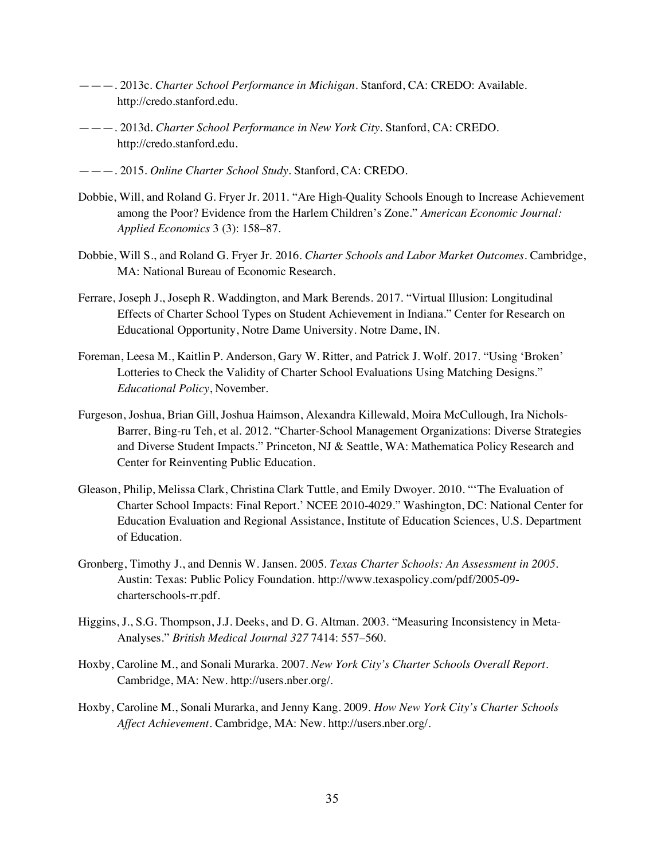- ———. 2013c. *Charter School Performance in Michigan*. Stanford, CA: CREDO: Available. http://credo.stanford.edu.
- ———. 2013d. *Charter School Performance in New York City*. Stanford, CA: CREDO. http://credo.stanford.edu.
- ———. 2015. *Online Charter School Study*. Stanford, CA: CREDO.
- Dobbie, Will, and Roland G. Fryer Jr. 2011. "Are High-Quality Schools Enough to Increase Achievement among the Poor? Evidence from the Harlem Children's Zone." *American Economic Journal: Applied Economics* 3 (3): 158–87.
- Dobbie, Will S., and Roland G. Fryer Jr. 2016. *Charter Schools and Labor Market Outcomes*. Cambridge, MA: National Bureau of Economic Research.
- Ferrare, Joseph J., Joseph R. Waddington, and Mark Berends. 2017. "Virtual Illusion: Longitudinal Effects of Charter School Types on Student Achievement in Indiana." Center for Research on Educational Opportunity, Notre Dame University. Notre Dame, IN.
- Foreman, Leesa M., Kaitlin P. Anderson, Gary W. Ritter, and Patrick J. Wolf. 2017. "Using 'Broken' Lotteries to Check the Validity of Charter School Evaluations Using Matching Designs." *Educational Policy*, November.
- Furgeson, Joshua, Brian Gill, Joshua Haimson, Alexandra Killewald, Moira McCullough, Ira Nichols-Barrer, Bing-ru Teh, et al. 2012. "Charter-School Management Organizations: Diverse Strategies and Diverse Student Impacts." Princeton, NJ & Seattle, WA: Mathematica Policy Research and Center for Reinventing Public Education.
- Gleason, Philip, Melissa Clark, Christina Clark Tuttle, and Emily Dwoyer. 2010. "'The Evaluation of Charter School Impacts: Final Report.' NCEE 2010-4029." Washington, DC: National Center for Education Evaluation and Regional Assistance, Institute of Education Sciences, U.S. Department of Education.
- Gronberg, Timothy J., and Dennis W. Jansen. 2005. *Texas Charter Schools: An Assessment in 2005*. Austin: Texas: Public Policy Foundation. http://www.texaspolicy.com/pdf/2005-09 charterschools-rr.pdf.
- Higgins, J., S.G. Thompson, J.J. Deeks, and D. G. Altman. 2003. "Measuring Inconsistency in Meta-Analyses." *British Medical Journal 327* 7414: 557–560.
- Hoxby, Caroline M., and Sonali Murarka. 2007. *New York City's Charter Schools Overall Report*. Cambridge, MA: New. http://users.nber.org/.
- Hoxby, Caroline M., Sonali Murarka, and Jenny Kang. 2009. *How New York City's Charter Schools Affect Achievement*. Cambridge, MA: New. http://users.nber.org/.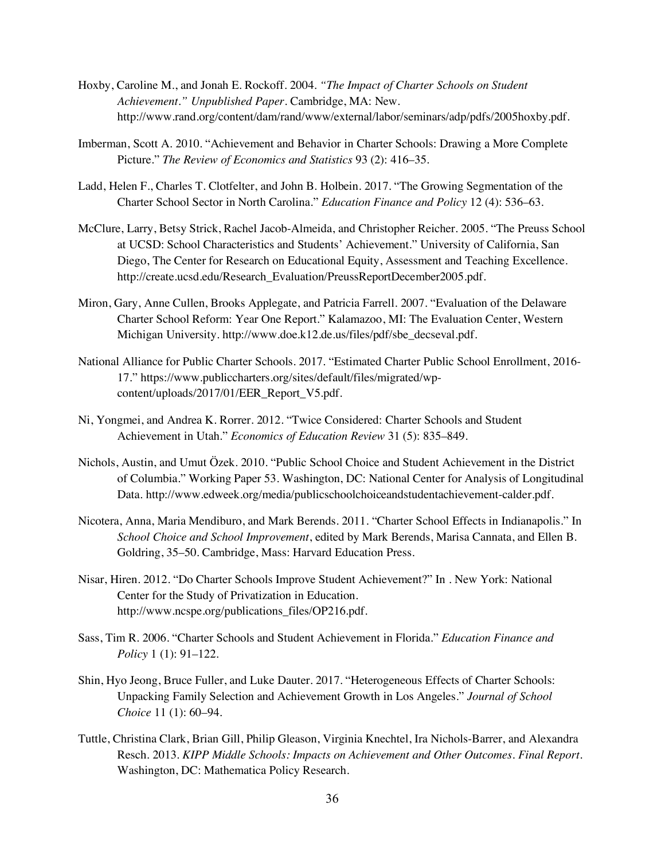- Hoxby, Caroline M., and Jonah E. Rockoff. 2004. *"The Impact of Charter Schools on Student Achievement." Unpublished Paper*. Cambridge, MA: New. http://www.rand.org/content/dam/rand/www/external/labor/seminars/adp/pdfs/2005hoxby.pdf.
- Imberman, Scott A. 2010. "Achievement and Behavior in Charter Schools: Drawing a More Complete Picture." *The Review of Economics and Statistics* 93 (2): 416–35.
- Ladd, Helen F., Charles T. Clotfelter, and John B. Holbein. 2017. "The Growing Segmentation of the Charter School Sector in North Carolina." *Education Finance and Policy* 12 (4): 536–63.
- McClure, Larry, Betsy Strick, Rachel Jacob-Almeida, and Christopher Reicher. 2005. "The Preuss School at UCSD: School Characteristics and Students' Achievement." University of California, San Diego, The Center for Research on Educational Equity, Assessment and Teaching Excellence. http://create.ucsd.edu/Research\_Evaluation/PreussReportDecember2005.pdf.
- Miron, Gary, Anne Cullen, Brooks Applegate, and Patricia Farrell. 2007. "Evaluation of the Delaware Charter School Reform: Year One Report." Kalamazoo, MI: The Evaluation Center, Western Michigan University. http://www.doe.k12.de.us/files/pdf/sbe\_decseval.pdf.
- National Alliance for Public Charter Schools. 2017. "Estimated Charter Public School Enrollment, 2016- 17." https://www.publiccharters.org/sites/default/files/migrated/wpcontent/uploads/2017/01/EER\_Report\_V5.pdf.
- Ni, Yongmei, and Andrea K. Rorrer. 2012. "Twice Considered: Charter Schools and Student Achievement in Utah." *Economics of Education Review* 31 (5): 835–849.
- Nichols, Austin, and Umut Özek. 2010. "Public School Choice and Student Achievement in the District of Columbia." Working Paper 53. Washington, DC: National Center for Analysis of Longitudinal Data. http://www.edweek.org/media/publicschoolchoiceandstudentachievement-calder.pdf.
- Nicotera, Anna, Maria Mendiburo, and Mark Berends. 2011. "Charter School Effects in Indianapolis." In *School Choice and School Improvement*, edited by Mark Berends, Marisa Cannata, and Ellen B. Goldring, 35–50. Cambridge, Mass: Harvard Education Press.
- Nisar, Hiren. 2012. "Do Charter Schools Improve Student Achievement?" In . New York: National Center for the Study of Privatization in Education. http://www.ncspe.org/publications\_files/OP216.pdf.
- Sass, Tim R. 2006. "Charter Schools and Student Achievement in Florida." *Education Finance and Policy* 1 (1): 91–122.
- Shin, Hyo Jeong, Bruce Fuller, and Luke Dauter. 2017. "Heterogeneous Effects of Charter Schools: Unpacking Family Selection and Achievement Growth in Los Angeles." *Journal of School Choice* 11 (1): 60–94.
- Tuttle, Christina Clark, Brian Gill, Philip Gleason, Virginia Knechtel, Ira Nichols-Barrer, and Alexandra Resch. 2013. *KIPP Middle Schools: Impacts on Achievement and Other Outcomes. Final Report*. Washington, DC: Mathematica Policy Research.